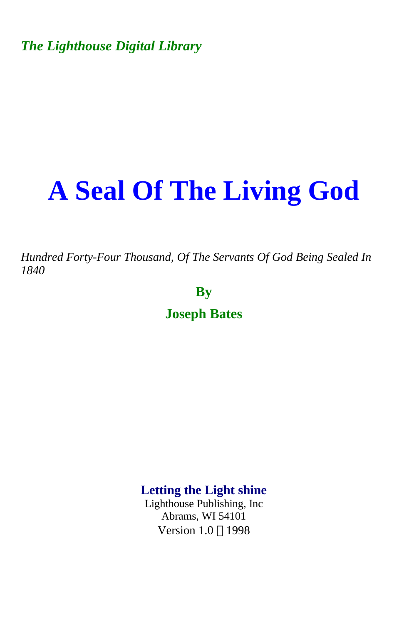*The Lighthouse Digital Library* 

# **A Seal Of The Living God**

*Hundred Forty-Four Thousand, Of The Servants Of God Being Sealed In 1840* 

**By** 

**Joseph Bates** 

**Letting the Light shine** 

Lighthouse Publishing, Inc Abrams, WI 54101 Version 1.0 ©1998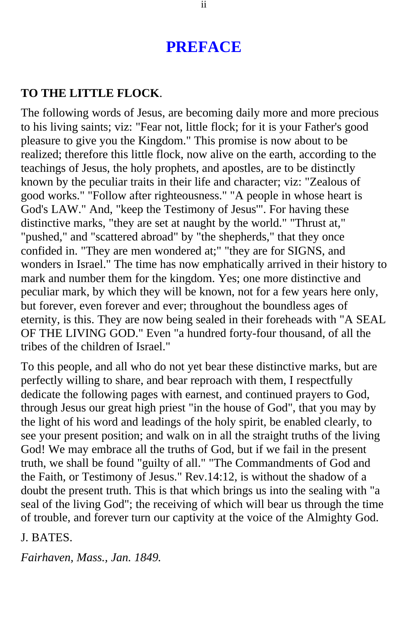## **PREFACE**

#### <span id="page-1-0"></span>**TO THE LITTLE FLOCK**.

The following words of Jesus, are becoming daily more and more precious to his living saints; viz: "Fear not, little flock; for it is your Father's good pleasure to give you the Kingdom." This promise is now about to be realized; therefore this little flock, now alive on the earth, according to the teachings of Jesus, the holy prophets, and apostles, are to be distinctly known by the peculiar traits in their life and character; viz: "Zealous of good works." "Follow after righteousness." "A people in whose heart is God's LAW." And, "keep the Testimony of Jesus'". For having these distinctive marks, "they are set at naught by the world." "Thrust at," "pushed," and "scattered abroad" by "the shepherds," that they once confided in. "They are men wondered at;" "they are for SIGNS, and wonders in Israel." The time has now emphatically arrived in their history to mark and number them for the kingdom. Yes; one more distinctive and peculiar mark, by which they will be known, not for a few years here only, but forever, even forever and ever; throughout the boundless ages of eternity, is this. They are now being sealed in their foreheads with "A SEAL OF THE LIVING GOD." Even "a hundred forty-four thousand, of all the tribes of the children of Israel."

To this people, and all who do not yet bear these distinctive marks, but are perfectly willing to share, and bear reproach with them, I respectfully dedicate the following pages with earnest, and continued prayers to God, through Jesus our great high priest "in the house of God", that you may by the light of his word and leadings of the holy spirit, be enabled clearly, to see your present position; and walk on in all the straight truths of the living God! We may embrace all the truths of God, but if we fail in the present truth, we shall be found "guilty of all." "The Commandments of God and the Faith, or Testimony of Jesus." Rev.14:12, is without the shadow of a doubt the present truth. This is that which brings us into the sealing with "a seal of the living God"; the receiving of which will bear us through the time of trouble, and forever turn our captivity at the voice of the Almighty God.

J. BATES.

*Fairhaven, Mass., Jan. 1849.*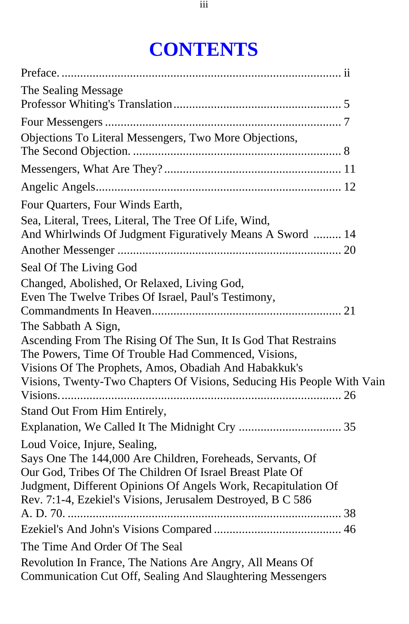## **CONTENTS**

| The Sealing Message                                                                                                                                                                                                                                                                      |
|------------------------------------------------------------------------------------------------------------------------------------------------------------------------------------------------------------------------------------------------------------------------------------------|
|                                                                                                                                                                                                                                                                                          |
| Objections To Literal Messengers, Two More Objections,                                                                                                                                                                                                                                   |
|                                                                                                                                                                                                                                                                                          |
|                                                                                                                                                                                                                                                                                          |
| Four Quarters, Four Winds Earth,<br>Sea, Literal, Trees, Literal, The Tree Of Life, Wind,<br>And Whirlwinds Of Judgment Figuratively Means A Sword  14                                                                                                                                   |
|                                                                                                                                                                                                                                                                                          |
| Seal Of The Living God                                                                                                                                                                                                                                                                   |
| Changed, Abolished, Or Relaxed, Living God,<br>Even The Twelve Tribes Of Israel, Paul's Testimony,<br>The Sabbath A Sign,<br>Ascending From The Rising Of The Sun, It Is God That Restrains<br>The Powers, Time Of Trouble Had Commenced, Visions,                                       |
| Visions Of The Prophets, Amos, Obadiah And Habakkuk's<br>Visions, Twenty-Two Chapters Of Visions, Seducing His People With Vain<br>Stand Out From Him Entirely,                                                                                                                          |
| Loud Voice, Injure, Sealing,<br>Says One The 144,000 Are Children, Foreheads, Servants, Of<br>Our God, Tribes Of The Children Of Israel Breast Plate Of<br>Judgment, Different Opinions Of Angels Work, Recapitulation Of<br>Rev. 7:1-4, Ezekiel's Visions, Jerusalem Destroyed, B C 586 |
|                                                                                                                                                                                                                                                                                          |
| The Time And Order Of The Seal                                                                                                                                                                                                                                                           |
| Revolution In France, The Nations Are Angry, All Means Of<br>Communication Cut Off, Sealing And Slaughtering Messengers                                                                                                                                                                  |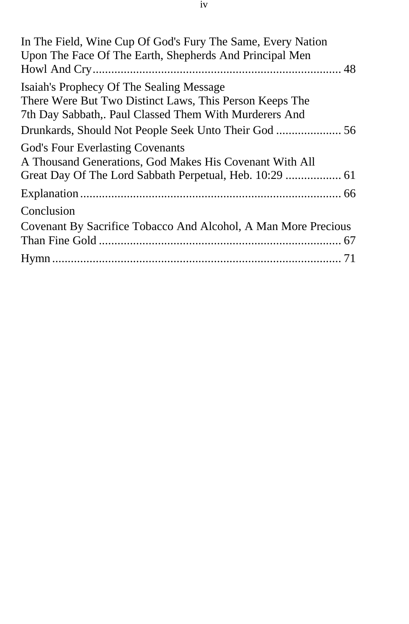In The Field, Wine Cup Of God's Fury The Same, Every Nation Upon The Face Of The Earth, Shepherds And Principal Men [Howl And Cry................................................................................ 48](#page-47-0) Isaiah's Prophecy Of The Sealing Message There Were But Two Distinct Laws, This Person Keeps The 7th Day Sabbath,. Paul Classed Them With Murderers And [Drunkards, Should Not People Seek Unto Their God ..................... 56](#page-55-0) God's Four Everlasting Covenants A Thousand Generations, God Makes His Covenant With All [Great Day Of The Lord Sabbath Perpetual, Heb. 10:29 .................. 61](#page-60-0) [Explanation .................................................................................... 66](#page-65-0) Conclusion [Covenant By Sacrifice Tobacco And Alcohol, A Man More Precious](#page-66-0) Than Fine Gold .............................................................................. 67 [Hymn ............................................................................................. 71](#page-70-0)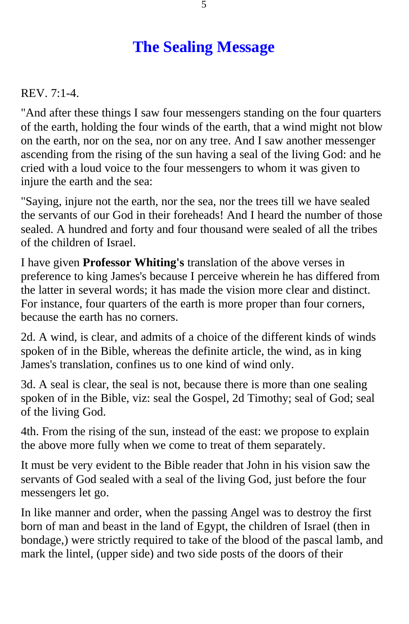## **The Sealing Message**

<span id="page-4-0"></span>REV. 7:1-4.

"And after these things I saw four messengers standing on the four quarters of the earth, holding the four winds of the earth, that a wind might not blow on the earth, nor on the sea, nor on any tree. And I saw another messenger ascending from the rising of the sun having a seal of the living God: and he cried with a loud voice to the four messengers to whom it was given to injure the earth and the sea:

"Saying, injure not the earth, nor the sea, nor the trees till we have sealed the servants of our God in their foreheads! And I heard the number of those sealed. A hundred and forty and four thousand were sealed of all the tribes of the children of Israel.

I have given **Professor Whiting's** translation of the above verses in preference to king James's because I perceive wherein he has differed from the latter in several words; it has made the vision more clear and distinct. For instance, four quarters of the earth is more proper than four corners, because the earth has no corners.

2d. A wind, is clear, and admits of a choice of the different kinds of winds spoken of in the Bible, whereas the definite article, the wind, as in king James's translation, confines us to one kind of wind only.

3d. A seal is clear, the seal is not, because there is more than one sealing spoken of in the Bible, viz: seal the Gospel, 2d Timothy; seal of God; seal of the living God.

4th. From the rising of the sun, instead of the east: we propose to explain the above more fully when we come to treat of them separately.

It must be very evident to the Bible reader that John in his vision saw the servants of God sealed with a seal of the living God, just before the four messengers let go.

In like manner and order, when the passing Angel was to destroy the first born of man and beast in the land of Egypt, the children of Israel (then in bondage,) were strictly required to take of the blood of the pascal lamb, and mark the lintel, (upper side) and two side posts of the doors of their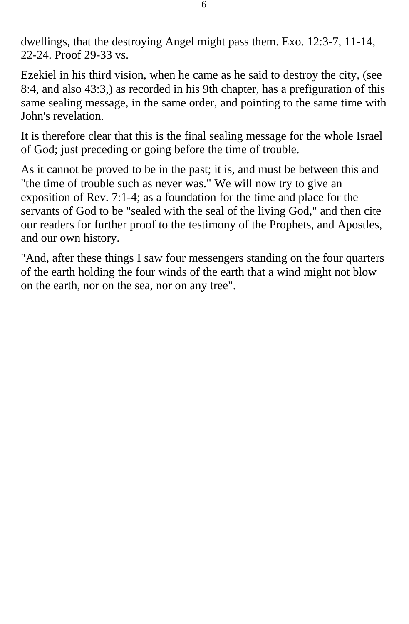dwellings, that the destroying Angel might pass them. Exo. 12:3-7, 11-14, 22-24. Proof 29-33 vs.

Ezekiel in his third vision, when he came as he said to destroy the city, (see 8:4, and also 43:3,) as recorded in his 9th chapter, has a prefiguration of this same sealing message, in the same order, and pointing to the same time with John's revelation.

It is therefore clear that this is the final sealing message for the whole Israel of God; just preceding or going before the time of trouble.

As it cannot be proved to be in the past; it is, and must be between this and "the time of trouble such as never was." We will now try to give an exposition of Rev. 7:1-4; as a foundation for the time and place for the servants of God to be "sealed with the seal of the living God," and then cite our readers for further proof to the testimony of the Prophets, and Apostles, and our own history.

"And, after these things I saw four messengers standing on the four quarters of the earth holding the four winds of the earth that a wind might not blow on the earth, nor on the sea, nor on any tree".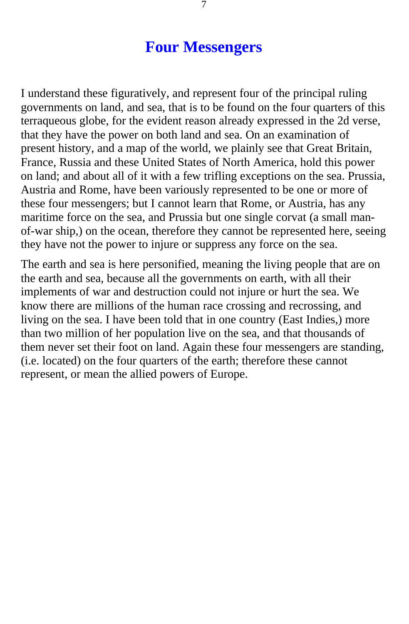#### **Four Messengers**

<span id="page-6-0"></span>I understand these figuratively, and represent four of the principal ruling governments on land, and sea, that is to be found on the four quarters of this terraqueous globe, for the evident reason already expressed in the 2d verse, that they have the power on both land and sea. On an examination of present history, and a map of the world, we plainly see that Great Britain, France, Russia and these United States of North America, hold this power on land; and about all of it with a few trifling exceptions on the sea. Prussia, Austria and Rome, have been variously represented to be one or more of these four messengers; but I cannot learn that Rome, or Austria, has any maritime force on the sea, and Prussia but one single corvat (a small manof-war ship,) on the ocean, therefore they cannot be represented here, seeing they have not the power to injure or suppress any force on the sea.

The earth and sea is here personified, meaning the living people that are on the earth and sea, because all the governments on earth, with all their implements of war and destruction could not injure or hurt the sea. We know there are millions of the human race crossing and recrossing, and living on the sea. I have been told that in one country (East Indies,) more than two million of her population live on the sea, and that thousands of them never set their foot on land. Again these four messengers are standing, (i.e. located) on the four quarters of the earth; therefore these cannot represent, or mean the allied powers of Europe.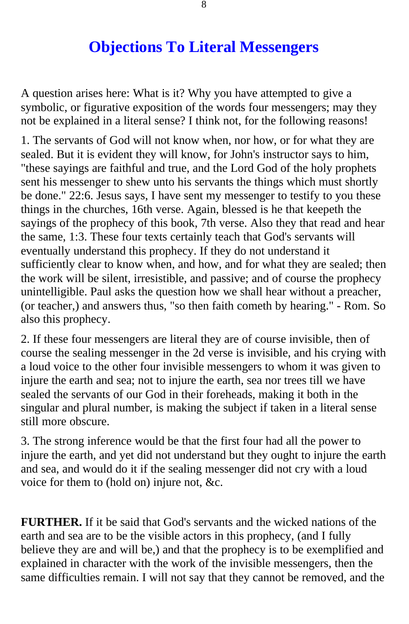## **Objections To Literal Messengers**

<span id="page-7-0"></span>A question arises here: What is it? Why you have attempted to give a symbolic, or figurative exposition of the words four messengers; may they not be explained in a literal sense? I think not, for the following reasons!

1. The servants of God will not know when, nor how, or for what they are sealed. But it is evident they will know, for John's instructor says to him, "these sayings are faithful and true, and the Lord God of the holy prophets sent his messenger to shew unto his servants the things which must shortly be done." 22:6. Jesus says, I have sent my messenger to testify to you these things in the churches, 16th verse. Again, blessed is he that keepeth the sayings of the prophecy of this book, 7th verse. Also they that read and hear the same, 1:3. These four texts certainly teach that God's servants will eventually understand this prophecy. If they do not understand it sufficiently clear to know when, and how, and for what they are sealed; then the work will be silent, irresistible, and passive; and of course the prophecy unintelligible. Paul asks the question how we shall hear without a preacher, (or teacher,) and answers thus, "so then faith cometh by hearing." - Rom. So also this prophecy.

2. If these four messengers are literal they are of course invisible, then of course the sealing messenger in the 2d verse is invisible, and his crying with a loud voice to the other four invisible messengers to whom it was given to injure the earth and sea; not to injure the earth, sea nor trees till we have sealed the servants of our God in their foreheads, making it both in the singular and plural number, is making the subject if taken in a literal sense still more obscure.

3. The strong inference would be that the first four had all the power to injure the earth, and yet did not understand but they ought to injure the earth and sea, and would do it if the sealing messenger did not cry with a loud voice for them to (hold on) injure not, &c.

**FURTHER.** If it be said that God's servants and the wicked nations of the earth and sea are to be the visible actors in this prophecy, (and I fully believe they are and will be,) and that the prophecy is to be exemplified and explained in character with the work of the invisible messengers, then the same difficulties remain. I will not say that they cannot be removed, and the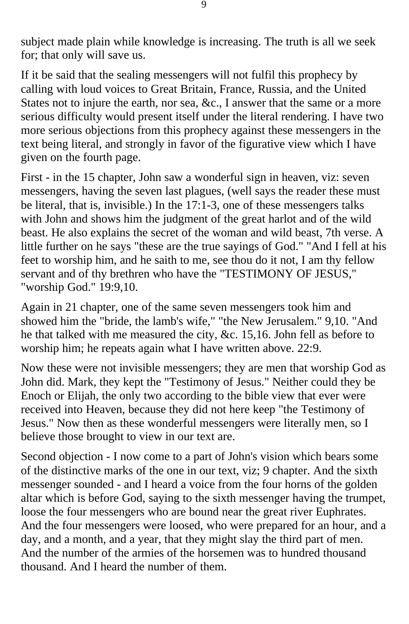subject made plain while knowledge is increasing. The truth is all we seek for; that only will save us.

If it be said that the sealing messengers will not fulfil this prophecy by calling with loud voices to Great Britain, France, Russia, and the United States not to injure the earth, nor sea, &c., I answer that the same or a more serious difficulty would present itself under the literal rendering. I have two more serious objections from this prophecy against these messengers in the text being literal, and strongly in favor of the figurative view which I have given on the fourth page.

First - in the 15 chapter, John saw a wonderful sign in heaven, viz: seven messengers, having the seven last plagues, (well says the reader these must be literal, that is, invisible.) In the 17:1-3, one of these messengers talks with John and shows him the judgment of the great harlot and of the wild beast. He also explains the secret of the woman and wild beast, 7th verse. A little further on he says "these are the true sayings of God." "And I fell at his feet to worship him, and he saith to me, see thou do it not, I am thy fellow servant and of thy brethren who have the "TESTIMONY OF JESUS," "worship God." 19:9,10.

Again in 21 chapter, one of the same seven messengers took him and showed him the "bride, the lamb's wife," "the New Jerusalem." 9,10. "And he that talked with me measured the city, &c. 15,16. John fell as before to worship him; he repeats again what I have written above. 22:9.

Now these were not invisible messengers; they are men that worship God as John did. Mark, they kept the "Testimony of Jesus." Neither could they be Enoch or Elijah, the only two according to the bible view that ever were received into Heaven, because they did not here keep "the Testimony of Jesus." Now then as these wonderful messengers were literally men, so I believe those brought to view in our text are.

Second objection - I now come to a part of John's vision which bears some of the distinctive marks of the one in our text, viz; 9 chapter. And the sixth messenger sounded - and I heard a voice from the four horns of the golden altar which is before God, saying to the sixth messenger having the trumpet, loose the four messengers who are bound near the great river Euphrates. And the four messengers were loosed, who were prepared for an hour, and a day, and a month, and a year, that they might slay the third part of men. And the number of the armies of the horsemen was to hundred thousand thousand. And I heard the number of them.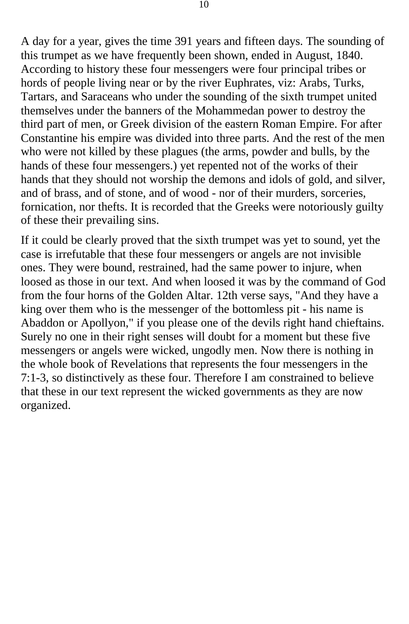A day for a year, gives the time 391 years and fifteen days. The sounding of this trumpet as we have frequently been shown, ended in August, 1840. According to history these four messengers were four principal tribes or hords of people living near or by the river Euphrates, viz: Arabs, Turks, Tartars, and Saraceans who under the sounding of the sixth trumpet united themselves under the banners of the Mohammedan power to destroy the third part of men, or Greek division of the eastern Roman Empire. For after Constantine his empire was divided into three parts. And the rest of the men who were not killed by these plagues (the arms, powder and bulls, by the hands of these four messengers.) yet repented not of the works of their hands that they should not worship the demons and idols of gold, and silver, and of brass, and of stone, and of wood - nor of their murders, sorceries, fornication, nor thefts. It is recorded that the Greeks were notoriously guilty of these their prevailing sins.

If it could be clearly proved that the sixth trumpet was yet to sound, yet the case is irrefutable that these four messengers or angels are not invisible ones. They were bound, restrained, had the same power to injure, when loosed as those in our text. And when loosed it was by the command of God from the four horns of the Golden Altar. 12th verse says, "And they have a king over them who is the messenger of the bottomless pit - his name is Abaddon or Apollyon," if you please one of the devils right hand chieftains. Surely no one in their right senses will doubt for a moment but these five messengers or angels were wicked, ungodly men. Now there is nothing in the whole book of Revelations that represents the four messengers in the 7:1-3, so distinctively as these four. Therefore I am constrained to believe that these in our text represent the wicked governments as they are now organized.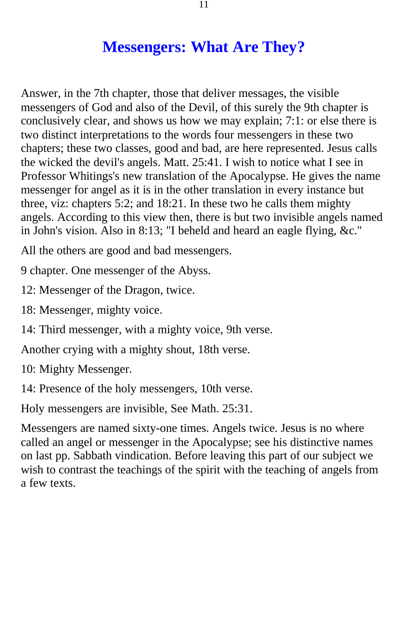## **Messengers: What Are They?**

<span id="page-10-0"></span>Answer, in the 7th chapter, those that deliver messages, the visible messengers of God and also of the Devil, of this surely the 9th chapter is conclusively clear, and shows us how we may explain; 7:1: or else there is two distinct interpretations to the words four messengers in these two chapters; these two classes, good and bad, are here represented. Jesus calls the wicked the devil's angels. Matt. 25:41. I wish to notice what I see in Professor Whitings's new translation of the Apocalypse. He gives the name messenger for angel as it is in the other translation in every instance but three, viz: chapters 5:2; and 18:21. In these two he calls them mighty angels. According to this view then, there is but two invisible angels named in John's vision. Also in 8:13; "I beheld and heard an eagle flying, &c."

All the others are good and bad messengers.

9 chapter. One messenger of the Abyss.

12: Messenger of the Dragon, twice.

18: Messenger, mighty voice.

14: Third messenger, with a mighty voice, 9th verse.

Another crying with a mighty shout, 18th verse.

10: Mighty Messenger.

14: Presence of the holy messengers, 10th verse.

Holy messengers are invisible, See Math. 25:31.

Messengers are named sixty-one times. Angels twice. Jesus is no where called an angel or messenger in the Apocalypse; see his distinctive names on last pp. Sabbath vindication. Before leaving this part of our subject we wish to contrast the teachings of the spirit with the teaching of angels from a few texts.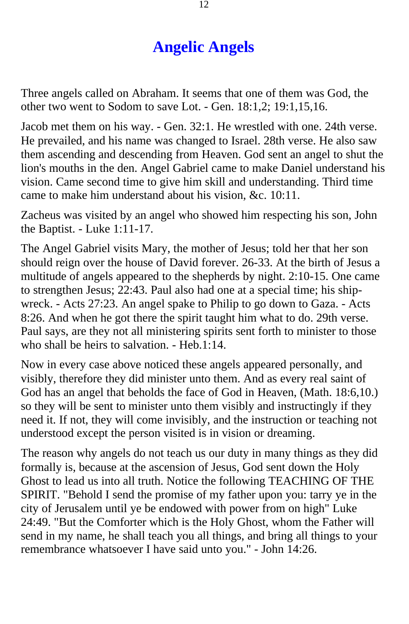## **Angelic Angels**

<span id="page-11-0"></span>Three angels called on Abraham. It seems that one of them was God, the other two went to Sodom to save Lot. - Gen. 18:1,2; 19:1,15,16.

Jacob met them on his way. - Gen. 32:1. He wrestled with one. 24th verse. He prevailed, and his name was changed to Israel. 28th verse. He also saw them ascending and descending from Heaven. God sent an angel to shut the lion's mouths in the den. Angel Gabriel came to make Daniel understand his vision. Came second time to give him skill and understanding. Third time came to make him understand about his vision, &c. 10:11.

Zacheus was visited by an angel who showed him respecting his son, John the Baptist. - Luke 1:11-17.

The Angel Gabriel visits Mary, the mother of Jesus; told her that her son should reign over the house of David forever. 26-33. At the birth of Jesus a multitude of angels appeared to the shepherds by night. 2:10-15. One came to strengthen Jesus; 22:43. Paul also had one at a special time; his shipwreck. - Acts 27:23. An angel spake to Philip to go down to Gaza. - Acts 8:26. And when he got there the spirit taught him what to do. 29th verse. Paul says, are they not all ministering spirits sent forth to minister to those who shall be heirs to salvation. - Heb.1:14.

Now in every case above noticed these angels appeared personally, and visibly, therefore they did minister unto them. And as every real saint of God has an angel that beholds the face of God in Heaven, (Math. 18:6,10.) so they will be sent to minister unto them visibly and instructingly if they need it. If not, they will come invisibly, and the instruction or teaching not understood except the person visited is in vision or dreaming.

The reason why angels do not teach us our duty in many things as they did formally is, because at the ascension of Jesus, God sent down the Holy Ghost to lead us into all truth. Notice the following TEACHING OF THE SPIRIT. "Behold I send the promise of my father upon you: tarry ye in the city of Jerusalem until ye be endowed with power from on high" Luke 24:49. "But the Comforter which is the Holy Ghost, whom the Father will send in my name, he shall teach you all things, and bring all things to your remembrance whatsoever I have said unto you." - John 14:26.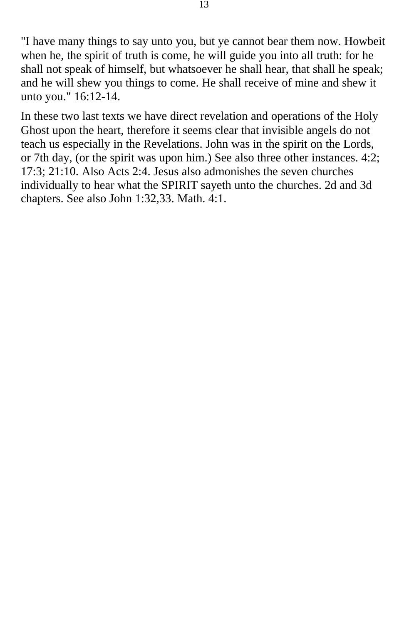"I have many things to say unto you, but ye cannot bear them now. Howbeit when he, the spirit of truth is come, he will guide you into all truth: for he shall not speak of himself, but whatsoever he shall hear, that shall he speak; and he will shew you things to come. He shall receive of mine and shew it unto you." 16:12-14.

In these two last texts we have direct revelation and operations of the Holy Ghost upon the heart, therefore it seems clear that invisible angels do not teach us especially in the Revelations. John was in the spirit on the Lords, or 7th day, (or the spirit was upon him.) See also three other instances. 4:2; 17:3; 21:10. Also Acts 2:4. Jesus also admonishes the seven churches individually to hear what the SPIRIT sayeth unto the churches. 2d and 3d chapters. See also John 1:32,33. Math. 4:1.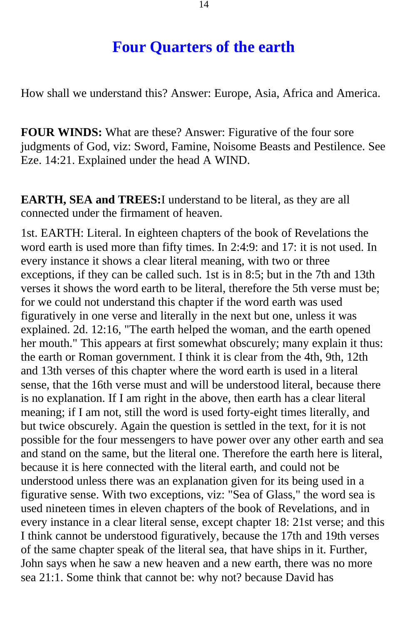#### **Four Quarters of the earth**

<span id="page-13-0"></span>How shall we understand this? Answer: Europe, Asia, Africa and America.

**FOUR WINDS:** What are these? Answer: Figurative of the four sore judgments of God, viz: Sword, Famine, Noisome Beasts and Pestilence. See Eze. 14:21. Explained under the head A WIND.

**EARTH, SEA and TREES:**I understand to be literal, as they are all connected under the firmament of heaven.

1st. EARTH: Literal. In eighteen chapters of the book of Revelations the word earth is used more than fifty times. In 2:4:9: and 17: it is not used. In every instance it shows a clear literal meaning, with two or three exceptions, if they can be called such. 1st is in 8:5; but in the 7th and 13th verses it shows the word earth to be literal, therefore the 5th verse must be; for we could not understand this chapter if the word earth was used figuratively in one verse and literally in the next but one, unless it was explained. 2d. 12:16, "The earth helped the woman, and the earth opened her mouth." This appears at first somewhat obscurely; many explain it thus: the earth or Roman government. I think it is clear from the 4th, 9th, 12th and 13th verses of this chapter where the word earth is used in a literal sense, that the 16th verse must and will be understood literal, because there is no explanation. If I am right in the above, then earth has a clear literal meaning; if I am not, still the word is used forty-eight times literally, and but twice obscurely. Again the question is settled in the text, for it is not possible for the four messengers to have power over any other earth and sea and stand on the same, but the literal one. Therefore the earth here is literal, because it is here connected with the literal earth, and could not be understood unless there was an explanation given for its being used in a figurative sense. With two exceptions, viz: "Sea of Glass," the word sea is used nineteen times in eleven chapters of the book of Revelations, and in every instance in a clear literal sense, except chapter 18: 21st verse; and this I think cannot be understood figuratively, because the 17th and 19th verses of the same chapter speak of the literal sea, that have ships in it. Further, John says when he saw a new heaven and a new earth, there was no more sea 21:1. Some think that cannot be: why not? because David has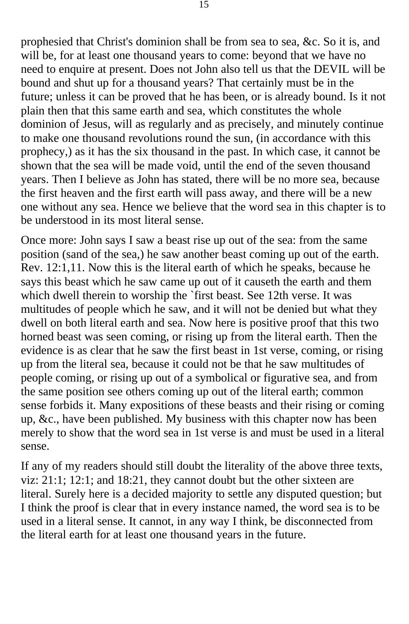prophesied that Christ's dominion shall be from sea to sea, &c. So it is, and will be, for at least one thousand years to come: beyond that we have no need to enquire at present. Does not John also tell us that the DEVIL will be bound and shut up for a thousand years? That certainly must be in the future; unless it can be proved that he has been, or is already bound. Is it not plain then that this same earth and sea, which constitutes the whole dominion of Jesus, will as regularly and as precisely, and minutely continue to make one thousand revolutions round the sun, (in accordance with this prophecy,) as it has the six thousand in the past. In which case, it cannot be shown that the sea will be made void, until the end of the seven thousand years. Then I believe as John has stated, there will be no more sea, because the first heaven and the first earth will pass away, and there will be a new one without any sea. Hence we believe that the word sea in this chapter is to be understood in its most literal sense.

Once more: John says I saw a beast rise up out of the sea: from the same position (sand of the sea,) he saw another beast coming up out of the earth. Rev. 12:1,11. Now this is the literal earth of which he speaks, because he says this beast which he saw came up out of it causeth the earth and them which dwell therein to worship the `first beast. See 12th verse. It was multitudes of people which he saw, and it will not be denied but what they dwell on both literal earth and sea. Now here is positive proof that this two horned beast was seen coming, or rising up from the literal earth. Then the evidence is as clear that he saw the first beast in 1st verse, coming, or rising up from the literal sea, because it could not be that he saw multitudes of people coming, or rising up out of a symbolical or figurative sea, and from the same position see others coming up out of the literal earth; common sense forbids it. Many expositions of these beasts and their rising or coming up, &c., have been published. My business with this chapter now has been merely to show that the word sea in 1st verse is and must be used in a literal sense.

If any of my readers should still doubt the literality of the above three texts, viz: 21:1; 12:1; and 18:21, they cannot doubt but the other sixteen are literal. Surely here is a decided majority to settle any disputed question; but I think the proof is clear that in every instance named, the word sea is to be used in a literal sense. It cannot, in any way I think, be disconnected from the literal earth for at least one thousand years in the future.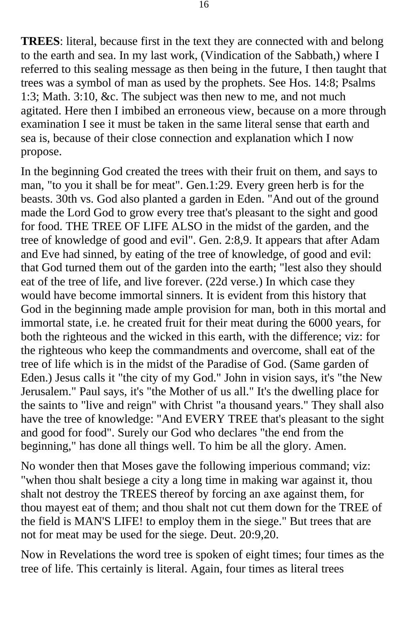**TREES**: literal, because first in the text they are connected with and belong to the earth and sea. In my last work, (Vindication of the Sabbath,) where I referred to this sealing message as then being in the future, I then taught that trees was a symbol of man as used by the prophets. See Hos. 14:8; Psalms 1:3; Math. 3:10, &c. The subject was then new to me, and not much agitated. Here then I imbibed an erroneous view, because on a more through examination I see it must be taken in the same literal sense that earth and sea is, because of their close connection and explanation which I now propose.

In the beginning God created the trees with their fruit on them, and says to man, "to you it shall be for meat". Gen.1:29. Every green herb is for the beasts. 30th vs. God also planted a garden in Eden. "And out of the ground made the Lord God to grow every tree that's pleasant to the sight and good for food. THE TREE OF LIFE ALSO in the midst of the garden, and the tree of knowledge of good and evil". Gen. 2:8,9. It appears that after Adam and Eve had sinned, by eating of the tree of knowledge, of good and evil: that God turned them out of the garden into the earth; "lest also they should eat of the tree of life, and live forever. (22d verse.) In which case they would have become immortal sinners. It is evident from this history that God in the beginning made ample provision for man, both in this mortal and immortal state, i.e. he created fruit for their meat during the 6000 years, for both the righteous and the wicked in this earth, with the difference; viz: for the righteous who keep the commandments and overcome, shall eat of the tree of life which is in the midst of the Paradise of God. (Same garden of Eden.) Jesus calls it "the city of my God." John in vision says, it's "the New Jerusalem." Paul says, it's "the Mother of us all." It's the dwelling place for the saints to "live and reign" with Christ "a thousand years." They shall also have the tree of knowledge: "And EVERY TREE that's pleasant to the sight and good for food". Surely our God who declares "the end from the beginning," has done all things well. To him be all the glory. Amen.

No wonder then that Moses gave the following imperious command; viz: "when thou shalt besiege a city a long time in making war against it, thou shalt not destroy the TREES thereof by forcing an axe against them, for thou mayest eat of them; and thou shalt not cut them down for the TREE of the field is MAN'S LIFE! to employ them in the siege." But trees that are not for meat may be used for the siege. Deut. 20:9,20.

Now in Revelations the word tree is spoken of eight times; four times as the tree of life. This certainly is literal. Again, four times as literal trees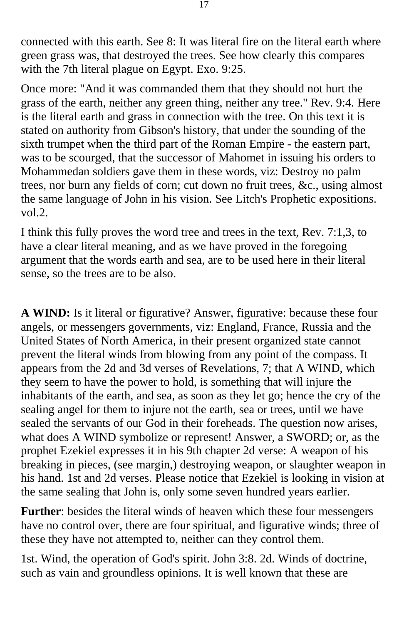connected with this earth. See 8: It was literal fire on the literal earth where green grass was, that destroyed the trees. See how clearly this compares with the 7th literal plague on Egypt. Exo. 9:25.

Once more: "And it was commanded them that they should not hurt the grass of the earth, neither any green thing, neither any tree." Rev. 9:4. Here is the literal earth and grass in connection with the tree. On this text it is stated on authority from Gibson's history, that under the sounding of the sixth trumpet when the third part of the Roman Empire - the eastern part, was to be scourged, that the successor of Mahomet in issuing his orders to Mohammedan soldiers gave them in these words, viz: Destroy no palm trees, nor burn any fields of corn; cut down no fruit trees, &c., using almost the same language of John in his vision. See Litch's Prophetic expositions. vol.2.

I think this fully proves the word tree and trees in the text, Rev. 7:1,3, to have a clear literal meaning, and as we have proved in the foregoing argument that the words earth and sea, are to be used here in their literal sense, so the trees are to be also.

**A WIND:** Is it literal or figurative? Answer, figurative: because these four angels, or messengers governments, viz: England, France, Russia and the United States of North America, in their present organized state cannot prevent the literal winds from blowing from any point of the compass. It appears from the 2d and 3d verses of Revelations, 7; that A WIND, which they seem to have the power to hold, is something that will injure the inhabitants of the earth, and sea, as soon as they let go; hence the cry of the sealing angel for them to injure not the earth, sea or trees, until we have sealed the servants of our God in their foreheads. The question now arises, what does A WIND symbolize or represent! Answer, a SWORD; or, as the prophet Ezekiel expresses it in his 9th chapter 2d verse: A weapon of his breaking in pieces, (see margin,) destroying weapon, or slaughter weapon in his hand. 1st and 2d verses. Please notice that Ezekiel is looking in vision at the same sealing that John is, only some seven hundred years earlier.

**Further**: besides the literal winds of heaven which these four messengers have no control over, there are four spiritual, and figurative winds; three of these they have not attempted to, neither can they control them.

1st. Wind, the operation of God's spirit. John 3:8. 2d. Winds of doctrine, such as vain and groundless opinions. It is well known that these are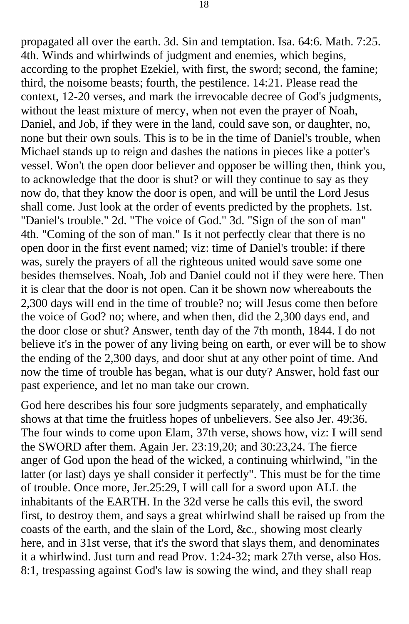propagated all over the earth. 3d. Sin and temptation. Isa. 64:6. Math. 7:25. 4th. Winds and whirlwinds of judgment and enemies, which begins, according to the prophet Ezekiel, with first, the sword; second, the famine; third, the noisome beasts; fourth, the pestilence. 14:21. Please read the context, 12-20 verses, and mark the irrevocable decree of God's judgments, without the least mixture of mercy, when not even the prayer of Noah, Daniel, and Job, if they were in the land, could save son, or daughter, no, none but their own souls. This is to be in the time of Daniel's trouble, when Michael stands up to reign and dashes the nations in pieces like a potter's vessel. Won't the open door believer and opposer be willing then, think you, to acknowledge that the door is shut? or will they continue to say as they now do, that they know the door is open, and will be until the Lord Jesus shall come. Just look at the order of events predicted by the prophets. 1st. "Daniel's trouble." 2d. "The voice of God." 3d. "Sign of the son of man" 4th. "Coming of the son of man." Is it not perfectly clear that there is no open door in the first event named; viz: time of Daniel's trouble: if there was, surely the prayers of all the righteous united would save some one besides themselves. Noah, Job and Daniel could not if they were here. Then it is clear that the door is not open. Can it be shown now whereabouts the 2,300 days will end in the time of trouble? no; will Jesus come then before the voice of God? no; where, and when then, did the 2,300 days end, and the door close or shut? Answer, tenth day of the 7th month, 1844. I do not believe it's in the power of any living being on earth, or ever will be to show the ending of the 2,300 days, and door shut at any other point of time. And now the time of trouble has began, what is our duty? Answer, hold fast our past experience, and let no man take our crown.

God here describes his four sore judgments separately, and emphatically shows at that time the fruitless hopes of unbelievers. See also Jer. 49:36. The four winds to come upon Elam, 37th verse, shows how, viz: I will send the SWORD after them. Again Jer. 23:19,20; and 30:23,24. The fierce anger of God upon the head of the wicked, a continuing whirlwind, "in the latter (or last) days ye shall consider it perfectly". This must be for the time of trouble. Once more, Jer.25:29, I will call for a sword upon ALL the inhabitants of the EARTH. In the 32d verse he calls this evil, the sword first, to destroy them, and says a great whirlwind shall be raised up from the coasts of the earth, and the slain of the Lord, &c., showing most clearly here, and in 31st verse, that it's the sword that slays them, and denominates it a whirlwind. Just turn and read Prov. 1:24-32; mark 27th verse, also Hos. 8:1, trespassing against God's law is sowing the wind, and they shall reap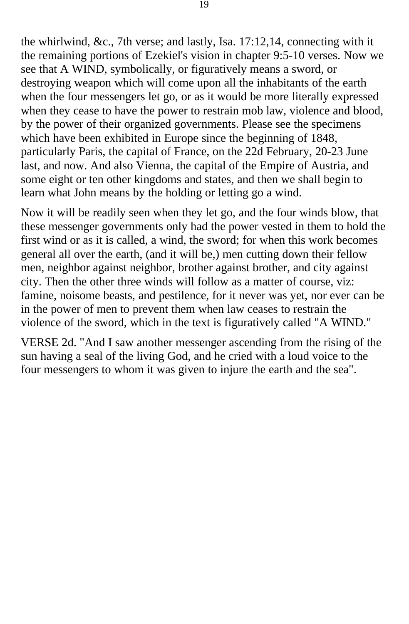the whirlwind, &c., 7th verse; and lastly, Isa. 17:12,14, connecting with it the remaining portions of Ezekiel's vision in chapter 9:5-10 verses. Now we see that A WIND, symbolically, or figuratively means a sword, or destroying weapon which will come upon all the inhabitants of the earth when the four messengers let go, or as it would be more literally expressed when they cease to have the power to restrain mob law, violence and blood, by the power of their organized governments. Please see the specimens which have been exhibited in Europe since the beginning of 1848, particularly Paris, the capital of France, on the 22d February, 20-23 June last, and now. And also Vienna, the capital of the Empire of Austria, and some eight or ten other kingdoms and states, and then we shall begin to learn what John means by the holding or letting go a wind.

Now it will be readily seen when they let go, and the four winds blow, that these messenger governments only had the power vested in them to hold the first wind or as it is called, a wind, the sword; for when this work becomes general all over the earth, (and it will be,) men cutting down their fellow men, neighbor against neighbor, brother against brother, and city against city. Then the other three winds will follow as a matter of course, viz: famine, noisome beasts, and pestilence, for it never was yet, nor ever can be in the power of men to prevent them when law ceases to restrain the violence of the sword, which in the text is figuratively called "A WIND."

VERSE 2d. "And I saw another messenger ascending from the rising of the sun having a seal of the living God, and he cried with a loud voice to the four messengers to whom it was given to injure the earth and the sea".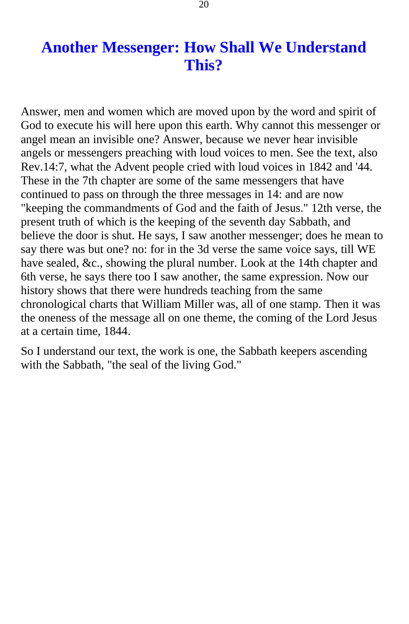## **Another Messenger: How Shall We Understand This?**

<span id="page-19-0"></span>Answer, men and women which are moved upon by the word and spirit of God to execute his will here upon this earth. Why cannot this messenger or angel mean an invisible one? Answer, because we never hear invisible angels or messengers preaching with loud voices to men. See the text, also Rev.14:7, what the Advent people cried with loud voices in 1842 and '44. These in the 7th chapter are some of the same messengers that have continued to pass on through the three messages in 14: and are now "keeping the commandments of God and the faith of Jesus." 12th verse, the present truth of which is the keeping of the seventh day Sabbath, and believe the door is shut. He says, I saw another messenger; does he mean to say there was but one? no: for in the 3d verse the same voice says, till WE have sealed, &c., showing the plural number. Look at the 14th chapter and 6th verse, he says there too I saw another, the same expression. Now our history shows that there were hundreds teaching from the same chronological charts that William Miller was, all of one stamp. Then it was the oneness of the message all on one theme, the coming of the Lord Jesus at a certain time, 1844.

So I understand our text, the work is one, the Sabbath keepers ascending with the Sabbath, "the seal of the living God."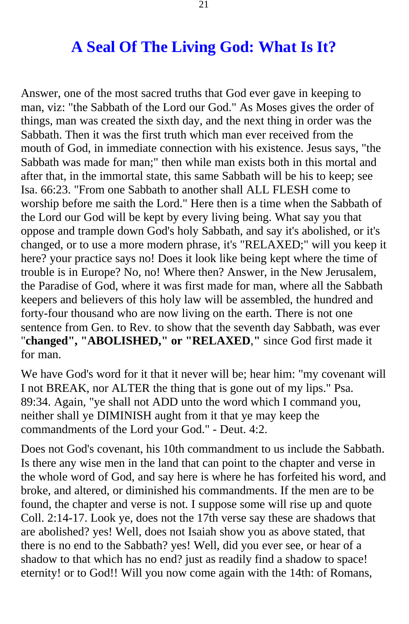### **A Seal Of The Living God: What Is It?**

<span id="page-20-0"></span>Answer, one of the most sacred truths that God ever gave in keeping to man, viz: "the Sabbath of the Lord our God." As Moses gives the order of things, man was created the sixth day, and the next thing in order was the Sabbath. Then it was the first truth which man ever received from the mouth of God, in immediate connection with his existence. Jesus says, "the Sabbath was made for man;" then while man exists both in this mortal and after that, in the immortal state, this same Sabbath will be his to keep; see Isa. 66:23. "From one Sabbath to another shall ALL FLESH come to worship before me saith the Lord." Here then is a time when the Sabbath of the Lord our God will be kept by every living being. What say you that oppose and trample down God's holy Sabbath, and say it's abolished, or it's changed, or to use a more modern phrase, it's "RELAXED;" will you keep it here? your practice says no! Does it look like being kept where the time of trouble is in Europe? No, no! Where then? Answer, in the New Jerusalem, the Paradise of God, where it was first made for man, where all the Sabbath keepers and believers of this holy law will be assembled, the hundred and forty-four thousand who are now living on the earth. There is not one sentence from Gen. to Rev. to show that the seventh day Sabbath, was ever "**changed", "ABOLISHED," or "RELAXED**,**"** since God first made it for man.

We have God's word for it that it never will be; hear him: "my covenant will I not BREAK, nor ALTER the thing that is gone out of my lips." Psa. 89:34. Again, "ye shall not ADD unto the word which I command you, neither shall ye DIMINISH aught from it that ye may keep the commandments of the Lord your God." - Deut. 4:2.

Does not God's covenant, his 10th commandment to us include the Sabbath. Is there any wise men in the land that can point to the chapter and verse in the whole word of God, and say here is where he has forfeited his word, and broke, and altered, or diminished his commandments. If the men are to be found, the chapter and verse is not. I suppose some will rise up and quote Coll. 2:14-17. Look ye, does not the 17th verse say these are shadows that are abolished? yes! Well, does not Isaiah show you as above stated, that there is no end to the Sabbath? yes! Well, did you ever see, or hear of a shadow to that which has no end? just as readily find a shadow to space! eternity! or to God!! Will you now come again with the 14th: of Romans,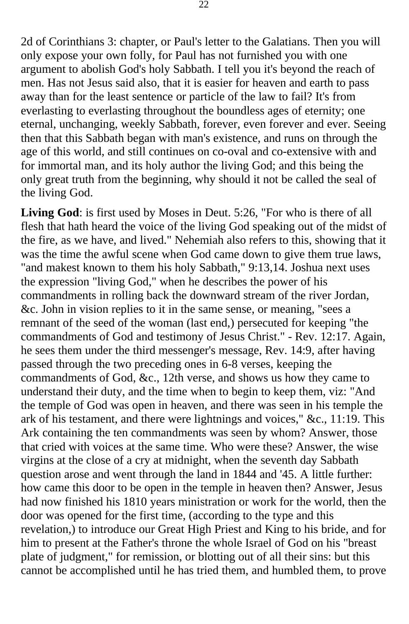2d of Corinthians 3: chapter, or Paul's letter to the Galatians. Then you will only expose your own folly, for Paul has not furnished you with one argument to abolish God's holy Sabbath. I tell you it's beyond the reach of men. Has not Jesus said also, that it is easier for heaven and earth to pass away than for the least sentence or particle of the law to fail? It's from everlasting to everlasting throughout the boundless ages of eternity; one eternal, unchanging, weekly Sabbath, forever, even forever and ever. Seeing then that this Sabbath began with man's existence, and runs on through the age of this world, and still continues on co-oval and co-extensive with and for immortal man, and its holy author the living God; and this being the only great truth from the beginning, why should it not be called the seal of the living God.

**Living God**: is first used by Moses in Deut. 5:26, "For who is there of all flesh that hath heard the voice of the living God speaking out of the midst of the fire, as we have, and lived." Nehemiah also refers to this, showing that it was the time the awful scene when God came down to give them true laws, "and makest known to them his holy Sabbath," 9:13,14. Joshua next uses the expression "living God," when he describes the power of his commandments in rolling back the downward stream of the river Jordan, &c. John in vision replies to it in the same sense, or meaning, "sees a remnant of the seed of the woman (last end,) persecuted for keeping "the commandments of God and testimony of Jesus Christ." - Rev. 12:17. Again, he sees them under the third messenger's message, Rev. 14:9, after having passed through the two preceding ones in 6-8 verses, keeping the commandments of God, &c., 12th verse, and shows us how they came to understand their duty, and the time when to begin to keep them, viz: "And the temple of God was open in heaven, and there was seen in his temple the ark of his testament, and there were lightnings and voices," &c., 11:19. This Ark containing the ten commandments was seen by whom? Answer, those that cried with voices at the same time. Who were these? Answer, the wise virgins at the close of a cry at midnight, when the seventh day Sabbath question arose and went through the land in 1844 and '45. A little further: how came this door to be open in the temple in heaven then? Answer, Jesus had now finished his 1810 years ministration or work for the world, then the door was opened for the first time, (according to the type and this revelation,) to introduce our Great High Priest and King to his bride, and for him to present at the Father's throne the whole Israel of God on his "breast plate of judgment," for remission, or blotting out of all their sins: but this cannot be accomplished until he has tried them, and humbled them, to prove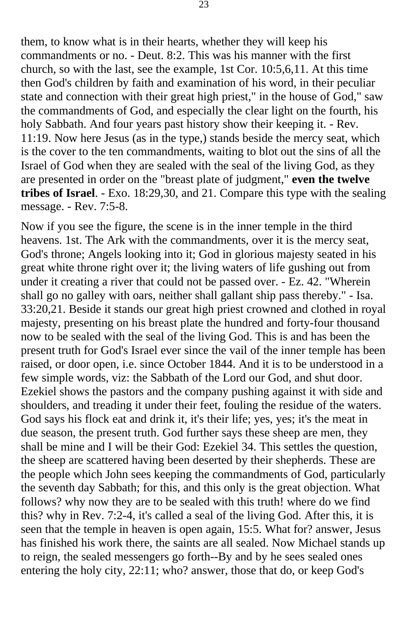them, to know what is in their hearts, whether they will keep his commandments or no. - Deut. 8:2. This was his manner with the first church, so with the last, see the example, 1st Cor. 10:5,6,11. At this time then God's children by faith and examination of his word, in their peculiar state and connection with their great high priest," in the house of God," saw the commandments of God, and especially the clear light on the fourth, his holy Sabbath. And four years past history show their keeping it. - Rev. 11:19. Now here Jesus (as in the type,) stands beside the mercy seat, which is the cover to the ten commandments, waiting to blot out the sins of all the Israel of God when they are sealed with the seal of the living God, as they are presented in order on the "breast plate of judgment," **even the twelve tribes of Israel**. - Exo. 18:29,30, and 21. Compare this type with the sealing message. - Rev. 7:5-8.

Now if you see the figure, the scene is in the inner temple in the third heavens. 1st. The Ark with the commandments, over it is the mercy seat, God's throne; Angels looking into it; God in glorious majesty seated in his great white throne right over it; the living waters of life gushing out from under it creating a river that could not be passed over. - Ez. 42. "Wherein shall go no galley with oars, neither shall gallant ship pass thereby." - Isa. 33:20,21. Beside it stands our great high priest crowned and clothed in royal majesty, presenting on his breast plate the hundred and forty-four thousand now to be sealed with the seal of the living God. This is and has been the present truth for God's Israel ever since the vail of the inner temple has been raised, or door open, i.e. since October 1844. And it is to be understood in a few simple words, viz: the Sabbath of the Lord our God, and shut door. Ezekiel shows the pastors and the company pushing against it with side and shoulders, and treading it under their feet, fouling the residue of the waters. God says his flock eat and drink it, it's their life; yes, yes; it's the meat in due season, the present truth. God further says these sheep are men, they shall be mine and I will be their God: Ezekiel 34. This settles the question, the sheep are scattered having been deserted by their shepherds. These are the people which John sees keeping the commandments of God, particularly the seventh day Sabbath; for this, and this only is the great objection. What follows? why now they are to be sealed with this truth! where do we find this? why in Rev. 7:2-4, it's called a seal of the living God. After this, it is seen that the temple in heaven is open again, 15:5. What for? answer, Jesus has finished his work there, the saints are all sealed. Now Michael stands up to reign, the sealed messengers go forth--By and by he sees sealed ones entering the holy city, 22:11; who? answer, those that do, or keep God's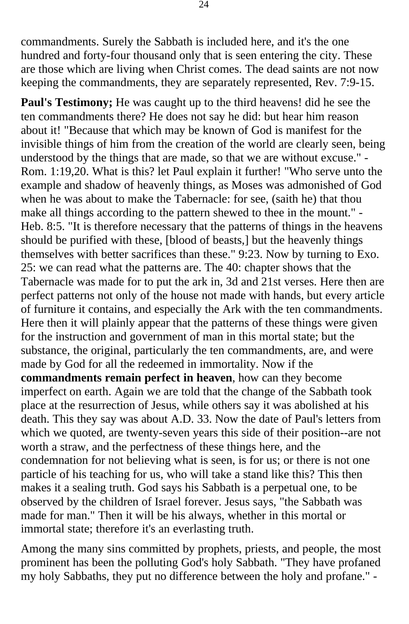commandments. Surely the Sabbath is included here, and it's the one hundred and forty-four thousand only that is seen entering the city. These are those which are living when Christ comes. The dead saints are not now keeping the commandments, they are separately represented, Rev. 7:9-15.

**Paul's Testimony;** He was caught up to the third heavens! did he see the ten commandments there? He does not say he did: but hear him reason about it! "Because that which may be known of God is manifest for the invisible things of him from the creation of the world are clearly seen, being understood by the things that are made, so that we are without excuse." - Rom. 1:19,20. What is this? let Paul explain it further! "Who serve unto the example and shadow of heavenly things, as Moses was admonished of God when he was about to make the Tabernacle: for see, (saith he) that thou make all things according to the pattern shewed to thee in the mount." - Heb. 8:5. "It is therefore necessary that the patterns of things in the heavens should be purified with these, [blood of beasts,] but the heavenly things themselves with better sacrifices than these." 9:23. Now by turning to Exo. 25: we can read what the patterns are. The 40: chapter shows that the Tabernacle was made for to put the ark in, 3d and 21st verses. Here then are perfect patterns not only of the house not made with hands, but every article of furniture it contains, and especially the Ark with the ten commandments. Here then it will plainly appear that the patterns of these things were given for the instruction and government of man in this mortal state; but the substance, the original, particularly the ten commandments, are, and were made by God for all the redeemed in immortality. Now if the **commandments remain perfect in heaven**, how can they become imperfect on earth. Again we are told that the change of the Sabbath took place at the resurrection of Jesus, while others say it was abolished at his death. This they say was about A.D. 33. Now the date of Paul's letters from which we quoted, are twenty-seven years this side of their position--are not worth a straw, and the perfectness of these things here, and the condemnation for not believing what is seen, is for us; or there is not one particle of his teaching for us, who will take a stand like this? This then makes it a sealing truth. God says his Sabbath is a perpetual one, to be observed by the children of Israel forever. Jesus says, "the Sabbath was made for man." Then it will be his always, whether in this mortal or immortal state; therefore it's an everlasting truth.

Among the many sins committed by prophets, priests, and people, the most prominent has been the polluting God's holy Sabbath. "They have profaned my holy Sabbaths, they put no difference between the holy and profane."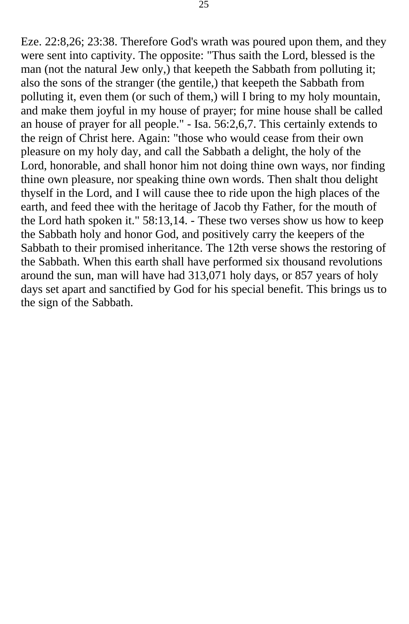Eze. 22:8,26; 23:38. Therefore God's wrath was poured upon them, and they were sent into captivity. The opposite: "Thus saith the Lord, blessed is the man (not the natural Jew only,) that keepeth the Sabbath from polluting it; also the sons of the stranger (the gentile,) that keepeth the Sabbath from polluting it, even them (or such of them,) will I bring to my holy mountain, and make them joyful in my house of prayer; for mine house shall be called an house of prayer for all people." - Isa. 56:2,6,7. This certainly extends to the reign of Christ here. Again: "those who would cease from their own pleasure on my holy day, and call the Sabbath a delight, the holy of the Lord, honorable, and shall honor him not doing thine own ways, nor finding thine own pleasure, nor speaking thine own words. Then shalt thou delight thyself in the Lord, and I will cause thee to ride upon the high places of the earth, and feed thee with the heritage of Jacob thy Father, for the mouth of the Lord hath spoken it." 58:13,14. - These two verses show us how to keep the Sabbath holy and honor God, and positively carry the keepers of the Sabbath to their promised inheritance. The 12th verse shows the restoring of the Sabbath. When this earth shall have performed six thousand revolutions around the sun, man will have had 313,071 holy days, or 857 years of holy days set apart and sanctified by God for his special benefit. This brings us to the sign of the Sabbath.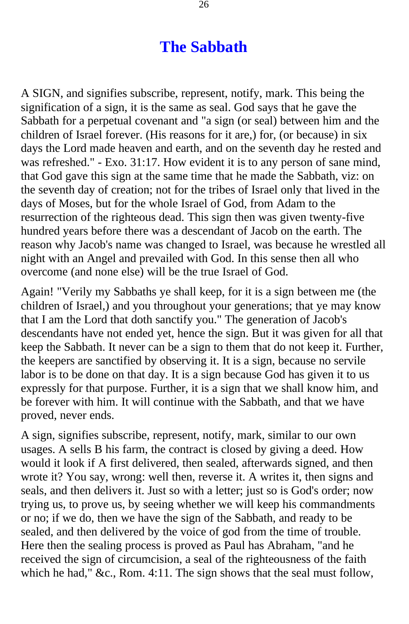## **The Sabbath**

<span id="page-25-0"></span>A SIGN, and signifies subscribe, represent, notify, mark. This being the signification of a sign, it is the same as seal. God says that he gave the Sabbath for a perpetual covenant and "a sign (or seal) between him and the children of Israel forever. (His reasons for it are,) for, (or because) in six days the Lord made heaven and earth, and on the seventh day he rested and was refreshed." - Exo. 31:17. How evident it is to any person of sane mind, that God gave this sign at the same time that he made the Sabbath, viz: on the seventh day of creation; not for the tribes of Israel only that lived in the days of Moses, but for the whole Israel of God, from Adam to the resurrection of the righteous dead. This sign then was given twenty-five hundred years before there was a descendant of Jacob on the earth. The reason why Jacob's name was changed to Israel, was because he wrestled all night with an Angel and prevailed with God. In this sense then all who overcome (and none else) will be the true Israel of God.

Again! "Verily my Sabbaths ye shall keep, for it is a sign between me (the children of Israel,) and you throughout your generations; that ye may know that I am the Lord that doth sanctify you." The generation of Jacob's descendants have not ended yet, hence the sign. But it was given for all that keep the Sabbath. It never can be a sign to them that do not keep it. Further, the keepers are sanctified by observing it. It is a sign, because no servile labor is to be done on that day. It is a sign because God has given it to us expressly for that purpose. Further, it is a sign that we shall know him, and be forever with him. It will continue with the Sabbath, and that we have proved, never ends.

A sign, signifies subscribe, represent, notify, mark, similar to our own usages. A sells B his farm, the contract is closed by giving a deed. How would it look if A first delivered, then sealed, afterwards signed, and then wrote it? You say, wrong: well then, reverse it. A writes it, then signs and seals, and then delivers it. Just so with a letter; just so is God's order; now trying us, to prove us, by seeing whether we will keep his commandments or no; if we do, then we have the sign of the Sabbath, and ready to be sealed, and then delivered by the voice of god from the time of trouble. Here then the sealing process is proved as Paul has Abraham, "and he received the sign of circumcision, a seal of the righteousness of the faith which he had," &c., Rom. 4:11. The sign shows that the seal must follow,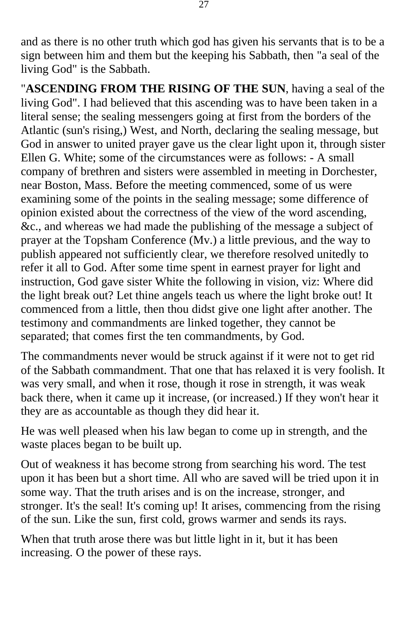and as there is no other truth which god has given his servants that is to be a sign between him and them but the keeping his Sabbath, then "a seal of the living God" is the Sabbath.

"**ASCENDING FROM THE RISING OF THE SUN**, having a seal of the living God". I had believed that this ascending was to have been taken in a literal sense; the sealing messengers going at first from the borders of the Atlantic (sun's rising,) West, and North, declaring the sealing message, but God in answer to united prayer gave us the clear light upon it, through sister Ellen G. White; some of the circumstances were as follows: - A small company of brethren and sisters were assembled in meeting in Dorchester, near Boston, Mass. Before the meeting commenced, some of us were examining some of the points in the sealing message; some difference of opinion existed about the correctness of the view of the word ascending, &c., and whereas we had made the publishing of the message a subject of prayer at the Topsham Conference (Mv.) a little previous, and the way to publish appeared not sufficiently clear, we therefore resolved unitedly to refer it all to God. After some time spent in earnest prayer for light and instruction, God gave sister White the following in vision, viz: Where did the light break out? Let thine angels teach us where the light broke out! It commenced from a little, then thou didst give one light after another. The testimony and commandments are linked together, they cannot be separated; that comes first the ten commandments, by God.

The commandments never would be struck against if it were not to get rid of the Sabbath commandment. That one that has relaxed it is very foolish. It was very small, and when it rose, though it rose in strength, it was weak back there, when it came up it increase, (or increased.) If they won't hear it they are as accountable as though they did hear it.

He was well pleased when his law began to come up in strength, and the waste places began to be built up.

Out of weakness it has become strong from searching his word. The test upon it has been but a short time. All who are saved will be tried upon it in some way. That the truth arises and is on the increase, stronger, and stronger. It's the seal! It's coming up! It arises, commencing from the rising of the sun. Like the sun, first cold, grows warmer and sends its rays.

When that truth arose there was but little light in it, but it has been increasing. O the power of these rays.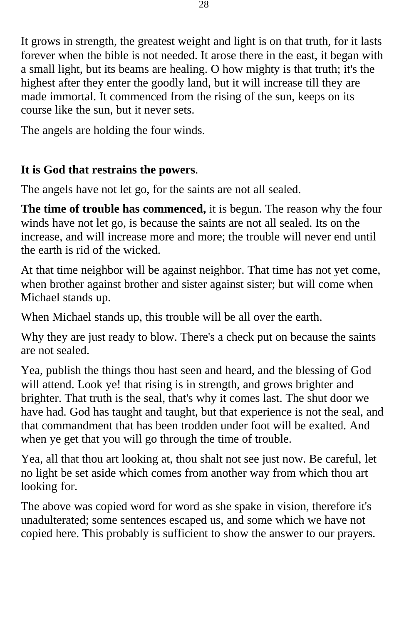It grows in strength, the greatest weight and light is on that truth, for it lasts forever when the bible is not needed. It arose there in the east, it began with a small light, but its beams are healing. O how mighty is that truth; it's the highest after they enter the goodly land, but it will increase till they are made immortal. It commenced from the rising of the sun, keeps on its course like the sun, but it never sets.

The angels are holding the four winds.

#### **It is God that restrains the powers**.

The angels have not let go, for the saints are not all sealed.

**The time of trouble has commenced,** it is begun. The reason why the four winds have not let go, is because the saints are not all sealed. Its on the increase, and will increase more and more; the trouble will never end until the earth is rid of the wicked.

At that time neighbor will be against neighbor. That time has not yet come, when brother against brother and sister against sister; but will come when Michael stands up.

When Michael stands up, this trouble will be all over the earth.

Why they are just ready to blow. There's a check put on because the saints are not sealed.

Yea, publish the things thou hast seen and heard, and the blessing of God will attend. Look ye! that rising is in strength, and grows brighter and brighter. That truth is the seal, that's why it comes last. The shut door we have had. God has taught and taught, but that experience is not the seal, and that commandment that has been trodden under foot will be exalted. And when ye get that you will go through the time of trouble.

Yea, all that thou art looking at, thou shalt not see just now. Be careful, let no light be set aside which comes from another way from which thou art looking for.

The above was copied word for word as she spake in vision, therefore it's unadulterated; some sentences escaped us, and some which we have not copied here. This probably is sufficient to show the answer to our prayers.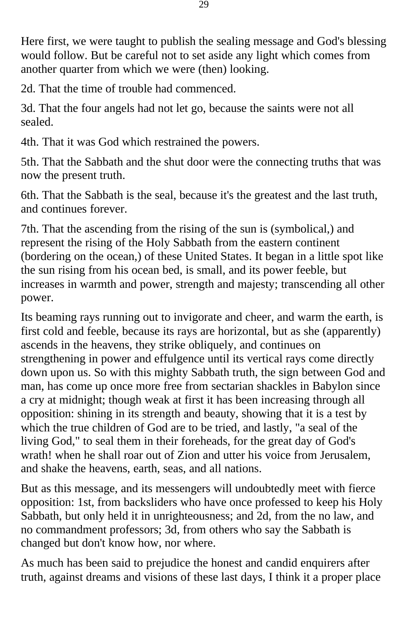Here first, we were taught to publish the sealing message and God's blessing would follow. But be careful not to set aside any light which comes from another quarter from which we were (then) looking.

2d. That the time of trouble had commenced.

3d. That the four angels had not let go, because the saints were not all sealed.

4th. That it was God which restrained the powers.

5th. That the Sabbath and the shut door were the connecting truths that was now the present truth.

6th. That the Sabbath is the seal, because it's the greatest and the last truth, and continues forever.

7th. That the ascending from the rising of the sun is (symbolical,) and represent the rising of the Holy Sabbath from the eastern continent (bordering on the ocean,) of these United States. It began in a little spot like the sun rising from his ocean bed, is small, and its power feeble, but increases in warmth and power, strength and majesty; transcending all other power.

Its beaming rays running out to invigorate and cheer, and warm the earth, is first cold and feeble, because its rays are horizontal, but as she (apparently) ascends in the heavens, they strike obliquely, and continues on strengthening in power and effulgence until its vertical rays come directly down upon us. So with this mighty Sabbath truth, the sign between God and man, has come up once more free from sectarian shackles in Babylon since a cry at midnight; though weak at first it has been increasing through all opposition: shining in its strength and beauty, showing that it is a test by which the true children of God are to be tried, and lastly, "a seal of the living God," to seal them in their foreheads, for the great day of God's wrath! when he shall roar out of Zion and utter his voice from Jerusalem, and shake the heavens, earth, seas, and all nations.

But as this message, and its messengers will undoubtedly meet with fierce opposition: 1st, from backsliders who have once professed to keep his Holy Sabbath, but only held it in unrighteousness; and 2d, from the no law, and no commandment professors; 3d, from others who say the Sabbath is changed but don't know how, nor where.

As much has been said to prejudice the honest and candid enquirers after truth, against dreams and visions of these last days, I think it a proper place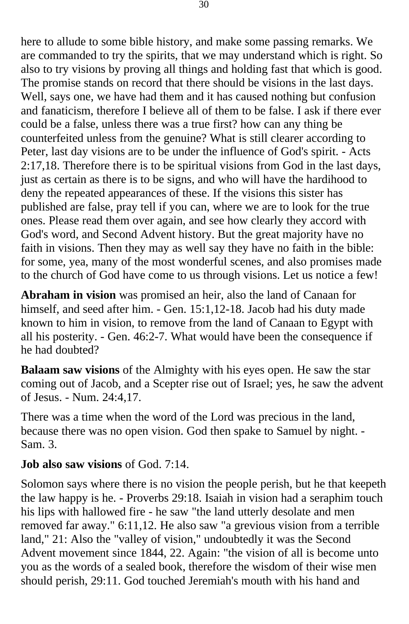here to allude to some bible history, and make some passing remarks. We are commanded to try the spirits, that we may understand which is right. So also to try visions by proving all things and holding fast that which is good. The promise stands on record that there should be visions in the last days. Well, says one, we have had them and it has caused nothing but confusion and fanaticism, therefore I believe all of them to be false. I ask if there ever could be a false, unless there was a true first? how can any thing be counterfeited unless from the genuine? What is still clearer according to Peter, last day visions are to be under the influence of God's spirit. - Acts 2:17,18. Therefore there is to be spiritual visions from God in the last days, just as certain as there is to be signs, and who will have the hardihood to deny the repeated appearances of these. If the visions this sister has published are false, pray tell if you can, where we are to look for the true ones. Please read them over again, and see how clearly they accord with God's word, and Second Advent history. But the great majority have no faith in visions. Then they may as well say they have no faith in the bible: for some, yea, many of the most wonderful scenes, and also promises made to the church of God have come to us through visions. Let us notice a few!

**Abraham in vision** was promised an heir, also the land of Canaan for himself, and seed after him. - Gen. 15:1,12-18. Jacob had his duty made known to him in vision, to remove from the land of Canaan to Egypt with all his posterity. - Gen. 46:2-7. What would have been the consequence if he had doubted?

**Balaam saw visions** of the Almighty with his eyes open. He saw the star coming out of Jacob, and a Scepter rise out of Israel; yes, he saw the advent of Jesus. - Num. 24:4,17.

There was a time when the word of the Lord was precious in the land, because there was no open vision. God then spake to Samuel by night. - Sam. 3.

#### **Job also saw visions** of God. 7:14.

Solomon says where there is no vision the people perish, but he that keepeth the law happy is he. - Proverbs 29:18. Isaiah in vision had a seraphim touch his lips with hallowed fire - he saw "the land utterly desolate and men removed far away." 6:11,12. He also saw "a grevious vision from a terrible land," 21: Also the "valley of vision," undoubtedly it was the Second Advent movement since 1844, 22. Again: "the vision of all is become unto you as the words of a sealed book, therefore the wisdom of their wise men should perish, 29:11. God touched Jeremiah's mouth with his hand and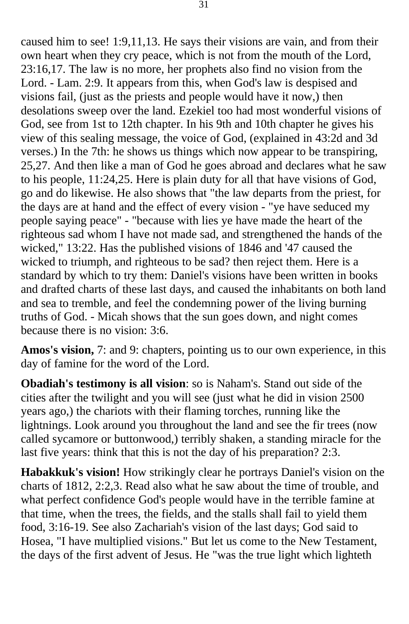caused him to see! 1:9,11,13. He says their visions are vain, and from their own heart when they cry peace, which is not from the mouth of the Lord, 23:16,17. The law is no more, her prophets also find no vision from the Lord. - Lam. 2:9. It appears from this, when God's law is despised and visions fail, (just as the priests and people would have it now,) then desolations sweep over the land. Ezekiel too had most wonderful visions of God, see from 1st to 12th chapter. In his 9th and 10th chapter he gives his view of this sealing message, the voice of God, (explained in 43:2d and 3d verses.) In the 7th: he shows us things which now appear to be transpiring, 25,27. And then like a man of God he goes abroad and declares what he saw to his people, 11:24,25. Here is plain duty for all that have visions of God, go and do likewise. He also shows that "the law departs from the priest, for the days are at hand and the effect of every vision - "ye have seduced my people saying peace" - "because with lies ye have made the heart of the righteous sad whom I have not made sad, and strengthened the hands of the wicked," 13:22. Has the published visions of 1846 and '47 caused the wicked to triumph, and righteous to be sad? then reject them. Here is a standard by which to try them: Daniel's visions have been written in books and drafted charts of these last days, and caused the inhabitants on both land and sea to tremble, and feel the condemning power of the living burning truths of God. - Micah shows that the sun goes down, and night comes because there is no vision: 3:6.

**Amos's vision,** 7: and 9: chapters, pointing us to our own experience, in this day of famine for the word of the Lord.

**Obadiah's testimony is all vision**: so is Naham's. Stand out side of the cities after the twilight and you will see (just what he did in vision 2500 years ago,) the chariots with their flaming torches, running like the lightnings. Look around you throughout the land and see the fir trees (now called sycamore or buttonwood,) terribly shaken, a standing miracle for the last five years: think that this is not the day of his preparation? 2:3.

**Habakkuk's vision!** How strikingly clear he portrays Daniel's vision on the charts of 1812, 2:2,3. Read also what he saw about the time of trouble, and what perfect confidence God's people would have in the terrible famine at that time, when the trees, the fields, and the stalls shall fail to yield them food, 3:16-19. See also Zachariah's vision of the last days; God said to Hosea, "I have multiplied visions." But let us come to the New Testament, the days of the first advent of Jesus. He "was the true light which lighteth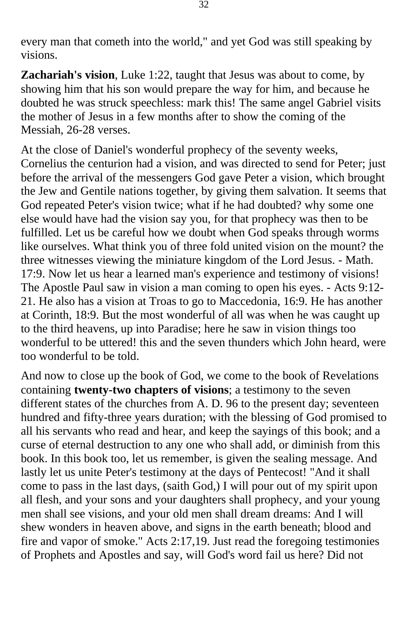every man that cometh into the world," and yet God was still speaking by visions.

**Zachariah's vision**, Luke 1:22, taught that Jesus was about to come, by showing him that his son would prepare the way for him, and because he doubted he was struck speechless: mark this! The same angel Gabriel visits the mother of Jesus in a few months after to show the coming of the Messiah, 26-28 verses.

At the close of Daniel's wonderful prophecy of the seventy weeks, Cornelius the centurion had a vision, and was directed to send for Peter; just before the arrival of the messengers God gave Peter a vision, which brought the Jew and Gentile nations together, by giving them salvation. It seems that God repeated Peter's vision twice; what if he had doubted? why some one else would have had the vision say you, for that prophecy was then to be fulfilled. Let us be careful how we doubt when God speaks through worms like ourselves. What think you of three fold united vision on the mount? the three witnesses viewing the miniature kingdom of the Lord Jesus. - Math. 17:9. Now let us hear a learned man's experience and testimony of visions! The Apostle Paul saw in vision a man coming to open his eyes. - Acts 9:12- 21. He also has a vision at Troas to go to Maccedonia, 16:9. He has another at Corinth, 18:9. But the most wonderful of all was when he was caught up to the third heavens, up into Paradise; here he saw in vision things too wonderful to be uttered! this and the seven thunders which John heard, were too wonderful to be told.

And now to close up the book of God, we come to the book of Revelations containing **twenty-two chapters of visions**; a testimony to the seven different states of the churches from A. D. 96 to the present day; seventeen hundred and fifty-three years duration; with the blessing of God promised to all his servants who read and hear, and keep the sayings of this book; and a curse of eternal destruction to any one who shall add, or diminish from this book. In this book too, let us remember, is given the sealing message. And lastly let us unite Peter's testimony at the days of Pentecost! "And it shall come to pass in the last days, (saith God,) I will pour out of my spirit upon all flesh, and your sons and your daughters shall prophecy, and your young men shall see visions, and your old men shall dream dreams: And I will shew wonders in heaven above, and signs in the earth beneath; blood and fire and vapor of smoke." Acts 2:17,19. Just read the foregoing testimonies of Prophets and Apostles and say, will God's word fail us here? Did not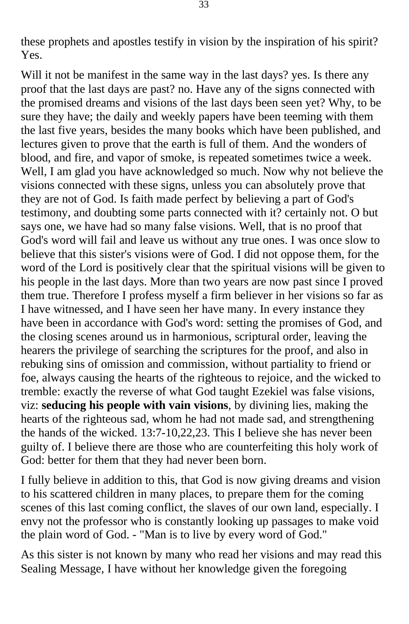these prophets and apostles testify in vision by the inspiration of his spirit? Yes.

Will it not be manifest in the same way in the last days? yes. Is there any proof that the last days are past? no. Have any of the signs connected with the promised dreams and visions of the last days been seen yet? Why, to be sure they have; the daily and weekly papers have been teeming with them the last five years, besides the many books which have been published, and lectures given to prove that the earth is full of them. And the wonders of blood, and fire, and vapor of smoke, is repeated sometimes twice a week. Well, I am glad you have acknowledged so much. Now why not believe the visions connected with these signs, unless you can absolutely prove that they are not of God. Is faith made perfect by believing a part of God's testimony, and doubting some parts connected with it? certainly not. O but says one, we have had so many false visions. Well, that is no proof that God's word will fail and leave us without any true ones. I was once slow to believe that this sister's visions were of God. I did not oppose them, for the word of the Lord is positively clear that the spiritual visions will be given to his people in the last days. More than two years are now past since I proved them true. Therefore I profess myself a firm believer in her visions so far as I have witnessed, and I have seen her have many. In every instance they have been in accordance with God's word: setting the promises of God, and the closing scenes around us in harmonious, scriptural order, leaving the hearers the privilege of searching the scriptures for the proof, and also in rebuking sins of omission and commission, without partiality to friend or foe, always causing the hearts of the righteous to rejoice, and the wicked to tremble: exactly the reverse of what God taught Ezekiel was false visions, viz: **seducing his people with vain visions**, by divining lies, making the hearts of the righteous sad, whom he had not made sad, and strengthening the hands of the wicked. 13:7-10,22,23. This I believe she has never been guilty of. I believe there are those who are counterfeiting this holy work of God: better for them that they had never been born.

I fully believe in addition to this, that God is now giving dreams and vision to his scattered children in many places, to prepare them for the coming scenes of this last coming conflict, the slaves of our own land, especially. I envy not the professor who is constantly looking up passages to make void the plain word of God. - "Man is to live by every word of God."

As this sister is not known by many who read her visions and may read this Sealing Message, I have without her knowledge given the foregoing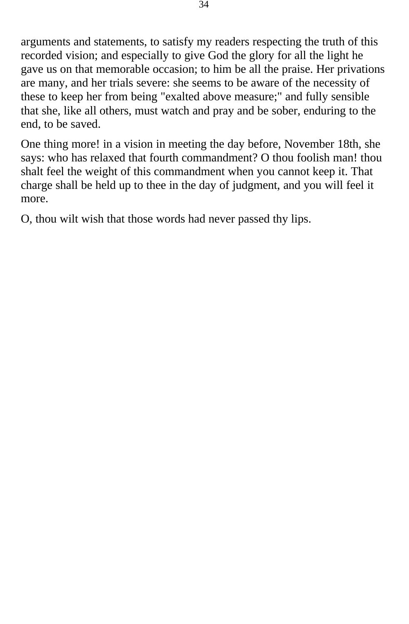arguments and statements, to satisfy my readers respecting the truth of this recorded vision; and especially to give God the glory for all the light he gave us on that memorable occasion; to him be all the praise. Her privations are many, and her trials severe: she seems to be aware of the necessity of these to keep her from being "exalted above measure;" and fully sensible that she, like all others, must watch and pray and be sober, enduring to the end, to be saved.

One thing more! in a vision in meeting the day before, November 18th, she says: who has relaxed that fourth commandment? O thou foolish man! thou shalt feel the weight of this commandment when you cannot keep it. That charge shall be held up to thee in the day of judgment, and you will feel it more.

O, thou wilt wish that those words had never passed thy lips.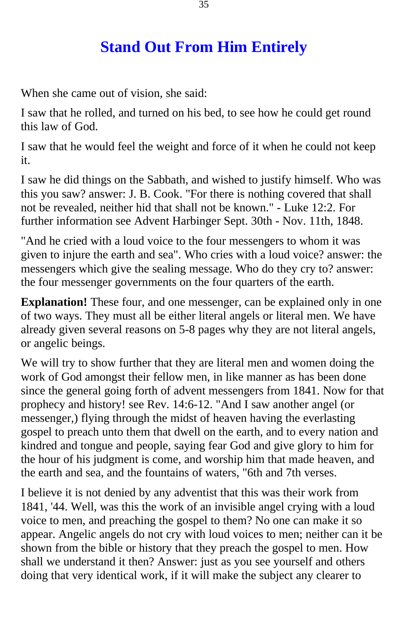## **Stand Out From Him Entirely**

<span id="page-34-0"></span>When she came out of vision, she said:

I saw that he rolled, and turned on his bed, to see how he could get round this law of God.

I saw that he would feel the weight and force of it when he could not keep it.

I saw he did things on the Sabbath, and wished to justify himself. Who was this you saw? answer: J. B. Cook. "For there is nothing covered that shall not be revealed, neither hid that shall not be known." - Luke 12:2. For further information see Advent Harbinger Sept. 30th - Nov. 11th, 1848.

"And he cried with a loud voice to the four messengers to whom it was given to injure the earth and sea". Who cries with a loud voice? answer: the messengers which give the sealing message. Who do they cry to? answer: the four messenger governments on the four quarters of the earth.

**Explanation!** These four, and one messenger, can be explained only in one of two ways. They must all be either literal angels or literal men. We have already given several reasons on 5-8 pages why they are not literal angels, or angelic beings.

We will try to show further that they are literal men and women doing the work of God amongst their fellow men, in like manner as has been done since the general going forth of advent messengers from 1841. Now for that prophecy and history! see Rev. 14:6-12. "And I saw another angel (or messenger,) flying through the midst of heaven having the everlasting gospel to preach unto them that dwell on the earth, and to every nation and kindred and tongue and people, saying fear God and give glory to him for the hour of his judgment is come, and worship him that made heaven, and the earth and sea, and the fountains of waters, "6th and 7th verses.

I believe it is not denied by any adventist that this was their work from 1841, '44. Well, was this the work of an invisible angel crying with a loud voice to men, and preaching the gospel to them? No one can make it so appear. Angelic angels do not cry with loud voices to men; neither can it be shown from the bible or history that they preach the gospel to men. How shall we understand it then? Answer: just as you see yourself and others doing that very identical work, if it will make the subject any clearer to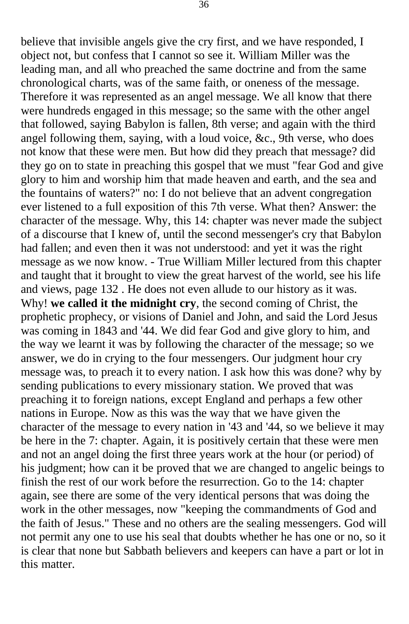believe that invisible angels give the cry first, and we have responded, I object not, but confess that I cannot so see it. William Miller was the leading man, and all who preached the same doctrine and from the same chronological charts, was of the same faith, or oneness of the message. Therefore it was represented as an angel message. We all know that there were hundreds engaged in this message; so the same with the other angel that followed, saying Babylon is fallen, 8th verse; and again with the third angel following them, saying, with a loud voice, &c., 9th verse, who does not know that these were men. But how did they preach that message? did they go on to state in preaching this gospel that we must "fear God and give glory to him and worship him that made heaven and earth, and the sea and the fountains of waters?" no: I do not believe that an advent congregation ever listened to a full exposition of this 7th verse. What then? Answer: the character of the message. Why, this 14: chapter was never made the subject of a discourse that I knew of, until the second messenger's cry that Babylon had fallen; and even then it was not understood: and yet it was the right message as we now know. - True William Miller lectured from this chapter and taught that it brought to view the great harvest of the world, see his life and views, page 132 . He does not even allude to our history as it was. Why! **we called it the midnight cry**, the second coming of Christ, the prophetic prophecy, or visions of Daniel and John, and said the Lord Jesus was coming in 1843 and '44. We did fear God and give glory to him, and the way we learnt it was by following the character of the message; so we answer, we do in crying to the four messengers. Our judgment hour cry message was, to preach it to every nation. I ask how this was done? why by sending publications to every missionary station. We proved that was preaching it to foreign nations, except England and perhaps a few other nations in Europe. Now as this was the way that we have given the character of the message to every nation in '43 and '44, so we believe it may be here in the 7: chapter. Again, it is positively certain that these were men and not an angel doing the first three years work at the hour (or period) of his judgment; how can it be proved that we are changed to angelic beings to finish the rest of our work before the resurrection. Go to the 14: chapter again, see there are some of the very identical persons that was doing the work in the other messages, now "keeping the commandments of God and the faith of Jesus." These and no others are the sealing messengers. God will not permit any one to use his seal that doubts whether he has one or no, so it is clear that none but Sabbath believers and keepers can have a part or lot in this matter.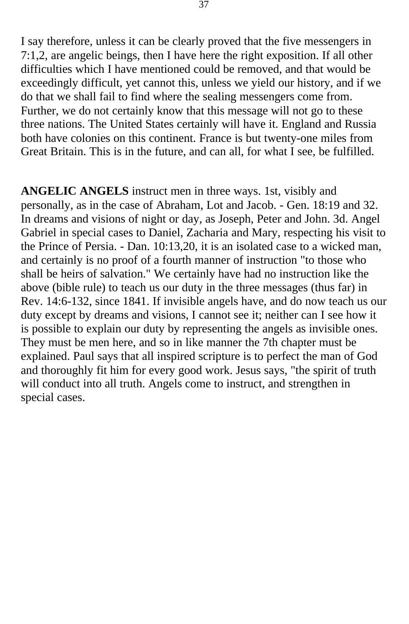I say therefore, unless it can be clearly proved that the five messengers in 7:1,2, are angelic beings, then I have here the right exposition. If all other difficulties which I have mentioned could be removed, and that would be exceedingly difficult, yet cannot this, unless we yield our history, and if we do that we shall fail to find where the sealing messengers come from. Further, we do not certainly know that this message will not go to these three nations. The United States certainly will have it. England and Russia both have colonies on this continent. France is but twenty-one miles from Great Britain. This is in the future, and can all, for what I see, be fulfilled.

**ANGELIC ANGELS** instruct men in three ways. 1st, visibly and personally, as in the case of Abraham, Lot and Jacob. - Gen. 18:19 and 32. In dreams and visions of night or day, as Joseph, Peter and John. 3d. Angel Gabriel in special cases to Daniel, Zacharia and Mary, respecting his visit to the Prince of Persia. - Dan. 10:13,20, it is an isolated case to a wicked man, and certainly is no proof of a fourth manner of instruction "to those who shall be heirs of salvation." We certainly have had no instruction like the above (bible rule) to teach us our duty in the three messages (thus far) in Rev. 14:6-132, since 1841. If invisible angels have, and do now teach us our duty except by dreams and visions, I cannot see it; neither can I see how it is possible to explain our duty by representing the angels as invisible ones. They must be men here, and so in like manner the 7th chapter must be explained. Paul says that all inspired scripture is to perfect the man of God and thoroughly fit him for every good work. Jesus says, "the spirit of truth will conduct into all truth. Angels come to instruct, and strengthen in special cases.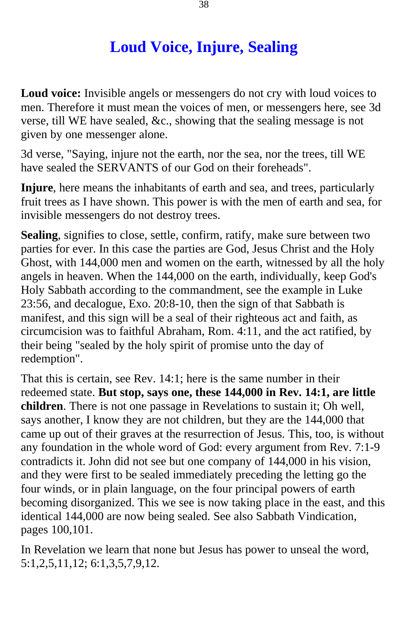## **Loud Voice, Injure, Sealing**

<span id="page-37-0"></span>**Loud voice:** Invisible angels or messengers do not cry with loud voices to men. Therefore it must mean the voices of men, or messengers here, see 3d verse, till WE have sealed, &c., showing that the sealing message is not given by one messenger alone.

3d verse, "Saying, injure not the earth, nor the sea, nor the trees, till WE have sealed the SERVANTS of our God on their foreheads".

**Injure**, here means the inhabitants of earth and sea, and trees, particularly fruit trees as I have shown. This power is with the men of earth and sea, for invisible messengers do not destroy trees.

**Sealing**, signifies to close, settle, confirm, ratify, make sure between two parties for ever. In this case the parties are God, Jesus Christ and the Holy Ghost, with 144,000 men and women on the earth, witnessed by all the holy angels in heaven. When the 144,000 on the earth, individually, keep God's Holy Sabbath according to the commandment, see the example in Luke 23:56, and decalogue, Exo. 20:8-10, then the sign of that Sabbath is manifest, and this sign will be a seal of their righteous act and faith, as circumcision was to faithful Abraham, Rom. 4:11, and the act ratified, by their being "sealed by the holy spirit of promise unto the day of redemption".

That this is certain, see Rev. 14:1; here is the same number in their redeemed state. **But stop, says one, these 144,000 in Rev. 14:1, are little children**. There is not one passage in Revelations to sustain it; Oh well, says another, I know they are not children, but they are the 144,000 that came up out of their graves at the resurrection of Jesus. This, too, is without any foundation in the whole word of God: every argument from Rev. 7:1-9 contradicts it. John did not see but one company of 144,000 in his vision, and they were first to be sealed immediately preceding the letting go the four winds, or in plain language, on the four principal powers of earth becoming disorganized. This we see is now taking place in the east, and this identical 144,000 are now being sealed. See also Sabbath Vindication, pages 100,101.

In Revelation we learn that none but Jesus has power to unseal the word, 5:1,2,5,11,12; 6:1,3,5,7,9,12.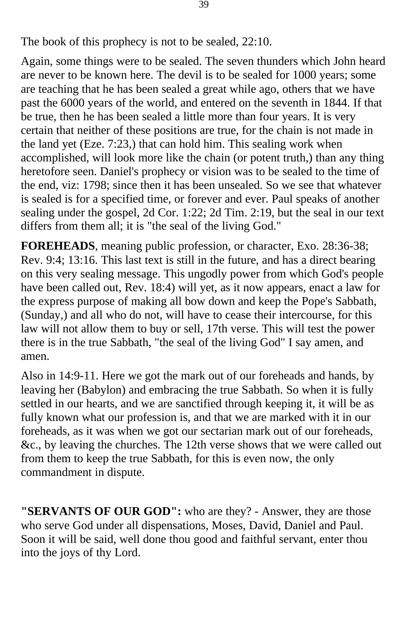The book of this prophecy is not to be sealed, 22:10.

Again, some things were to be sealed. The seven thunders which John heard are never to be known here. The devil is to be sealed for 1000 years; some are teaching that he has been sealed a great while ago, others that we have past the 6000 years of the world, and entered on the seventh in 1844. If that be true, then he has been sealed a little more than four years. It is very certain that neither of these positions are true, for the chain is not made in the land yet (Eze. 7:23,) that can hold him. This sealing work when accomplished, will look more like the chain (or potent truth,) than any thing heretofore seen. Daniel's prophecy or vision was to be sealed to the time of the end, viz: 1798; since then it has been unsealed. So we see that whatever is sealed is for a specified time, or forever and ever. Paul speaks of another sealing under the gospel, 2d Cor. 1:22; 2d Tim. 2:19, but the seal in our text differs from them all; it is "the seal of the living God."

**FOREHEADS**, meaning public profession, or character, Exo. 28:36-38; Rev. 9:4; 13:16. This last text is still in the future, and has a direct bearing on this very sealing message. This ungodly power from which God's people have been called out, Rev. 18:4) will yet, as it now appears, enact a law for the express purpose of making all bow down and keep the Pope's Sabbath, (Sunday,) and all who do not, will have to cease their intercourse, for this law will not allow them to buy or sell, 17th verse. This will test the power there is in the true Sabbath, "the seal of the living God" I say amen, and amen.

Also in 14:9-11. Here we got the mark out of our foreheads and hands, by leaving her (Babylon) and embracing the true Sabbath. So when it is fully settled in our hearts, and we are sanctified through keeping it, it will be as fully known what our profession is, and that we are marked with it in our foreheads, as it was when we got our sectarian mark out of our foreheads, &c., by leaving the churches. The 12th verse shows that we were called out from them to keep the true Sabbath, for this is even now, the only commandment in dispute.

**"SERVANTS OF OUR GOD":** who are they? - Answer, they are those who serve God under all dispensations, Moses, David, Daniel and Paul. Soon it will be said, well done thou good and faithful servant, enter thou into the joys of thy Lord.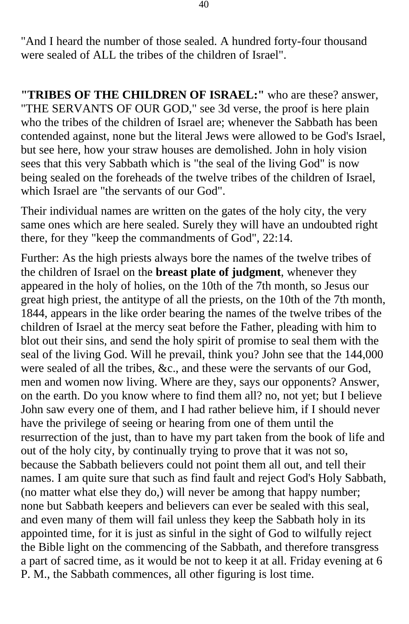"And I heard the number of those sealed. A hundred forty-four thousand were sealed of ALL the tribes of the children of Israel".

**"TRIBES OF THE CHILDREN OF ISRAEL:"** who are these? answer, "THE SERVANTS OF OUR GOD," see 3d verse, the proof is here plain who the tribes of the children of Israel are; whenever the Sabbath has been contended against, none but the literal Jews were allowed to be God's Israel, but see here, how your straw houses are demolished. John in holy vision sees that this very Sabbath which is "the seal of the living God" is now being sealed on the foreheads of the twelve tribes of the children of Israel, which Israel are "the servants of our God".

Their individual names are written on the gates of the holy city, the very same ones which are here sealed. Surely they will have an undoubted right there, for they "keep the commandments of God", 22:14.

Further: As the high priests always bore the names of the twelve tribes of the children of Israel on the **breast plate of judgment**, whenever they appeared in the holy of holies, on the 10th of the 7th month, so Jesus our great high priest, the antitype of all the priests, on the 10th of the 7th month, 1844, appears in the like order bearing the names of the twelve tribes of the children of Israel at the mercy seat before the Father, pleading with him to blot out their sins, and send the holy spirit of promise to seal them with the seal of the living God. Will he prevail, think you? John see that the 144,000 were sealed of all the tribes, &c., and these were the servants of our God, men and women now living. Where are they, says our opponents? Answer, on the earth. Do you know where to find them all? no, not yet; but I believe John saw every one of them, and I had rather believe him, if I should never have the privilege of seeing or hearing from one of them until the resurrection of the just, than to have my part taken from the book of life and out of the holy city, by continually trying to prove that it was not so, because the Sabbath believers could not point them all out, and tell their names. I am quite sure that such as find fault and reject God's Holy Sabbath, (no matter what else they do,) will never be among that happy number; none but Sabbath keepers and believers can ever be sealed with this seal, and even many of them will fail unless they keep the Sabbath holy in its appointed time, for it is just as sinful in the sight of God to wilfully reject the Bible light on the commencing of the Sabbath, and therefore transgress a part of sacred time, as it would be not to keep it at all. Friday evening at 6 P. M., the Sabbath commences, all other figuring is lost time.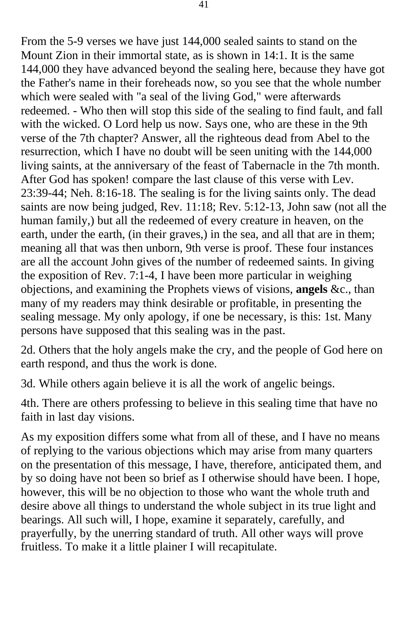From the 5-9 verses we have just 144,000 sealed saints to stand on the Mount Zion in their immortal state, as is shown in 14:1. It is the same 144,000 they have advanced beyond the sealing here, because they have got the Father's name in their foreheads now, so you see that the whole number which were sealed with "a seal of the living God," were afterwards redeemed. - Who then will stop this side of the sealing to find fault, and fall with the wicked. O Lord help us now. Says one, who are these in the 9th verse of the 7th chapter? Answer, all the righteous dead from Abel to the resurrection, which I have no doubt will be seen uniting with the 144,000 living saints, at the anniversary of the feast of Tabernacle in the 7th month. After God has spoken! compare the last clause of this verse with Lev. 23:39-44; Neh. 8:16-18. The sealing is for the living saints only. The dead saints are now being judged, Rev. 11:18; Rev. 5:12-13, John saw (not all the human family,) but all the redeemed of every creature in heaven, on the earth, under the earth, (in their graves,) in the sea, and all that are in them; meaning all that was then unborn, 9th verse is proof. These four instances are all the account John gives of the number of redeemed saints. In giving the exposition of Rev. 7:1-4, I have been more particular in weighing objections, and examining the Prophets views of visions, **angels** &c., than many of my readers may think desirable or profitable, in presenting the sealing message. My only apology, if one be necessary, is this: 1st. Many persons have supposed that this sealing was in the past.

2d. Others that the holy angels make the cry, and the people of God here on earth respond, and thus the work is done.

3d. While others again believe it is all the work of angelic beings.

4th. There are others professing to believe in this sealing time that have no faith in last day visions.

As my exposition differs some what from all of these, and I have no means of replying to the various objections which may arise from many quarters on the presentation of this message, I have, therefore, anticipated them, and by so doing have not been so brief as I otherwise should have been. I hope, however, this will be no objection to those who want the whole truth and desire above all things to understand the whole subject in its true light and bearings. All such will, I hope, examine it separately, carefully, and prayerfully, by the unerring standard of truth. All other ways will prove fruitless. To make it a little plainer I will recapitulate.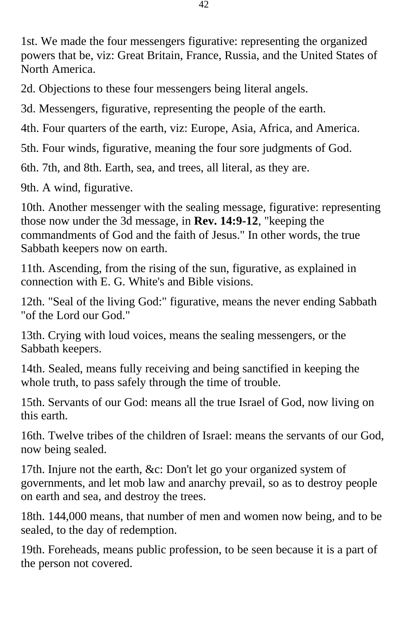1st. We made the four messengers figurative: representing the organized powers that be, viz: Great Britain, France, Russia, and the United States of North America.

2d. Objections to these four messengers being literal angels.

3d. Messengers, figurative, representing the people of the earth.

4th. Four quarters of the earth, viz: Europe, Asia, Africa, and America.

5th. Four winds, figurative, meaning the four sore judgments of God.

6th. 7th, and 8th. Earth, sea, and trees, all literal, as they are.

9th. A wind, figurative.

10th. Another messenger with the sealing message, figurative: representing those now under the 3d message, in **Rev. 14:9-12**, "keeping the commandments of God and the faith of Jesus." In other words, the true Sabbath keepers now on earth.

11th. Ascending, from the rising of the sun, figurative, as explained in connection with E. G. White's and Bible visions.

12th. "Seal of the living God:" figurative, means the never ending Sabbath "of the Lord our God."

13th. Crying with loud voices, means the sealing messengers, or the Sabbath keepers.

14th. Sealed, means fully receiving and being sanctified in keeping the whole truth, to pass safely through the time of trouble.

15th. Servants of our God: means all the true Israel of God, now living on this earth.

16th. Twelve tribes of the children of Israel: means the servants of our God, now being sealed.

17th. Injure not the earth, &c: Don't let go your organized system of governments, and let mob law and anarchy prevail, so as to destroy people on earth and sea, and destroy the trees.

18th. 144,000 means, that number of men and women now being, and to be sealed, to the day of redemption.

19th. Foreheads, means public profession, to be seen because it is a part of the person not covered.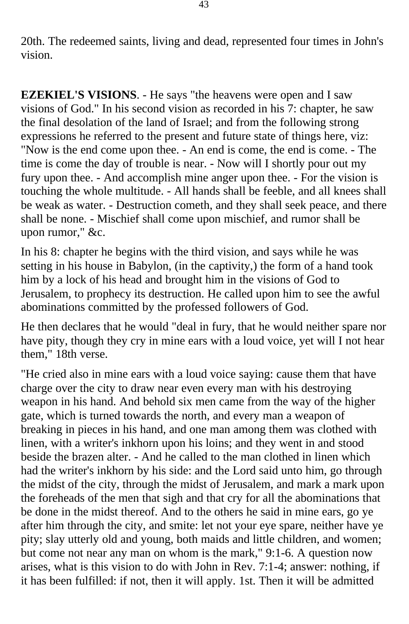20th. The redeemed saints, living and dead, represented four times in John's vision.

**EZEKIEL'S VISIONS**. - He says "the heavens were open and I saw visions of God." In his second vision as recorded in his 7: chapter, he saw the final desolation of the land of Israel; and from the following strong expressions he referred to the present and future state of things here, viz: "Now is the end come upon thee. - An end is come, the end is come. - The time is come the day of trouble is near. - Now will I shortly pour out my fury upon thee. - And accomplish mine anger upon thee. - For the vision is touching the whole multitude. - All hands shall be feeble, and all knees shall be weak as water. - Destruction cometh, and they shall seek peace, and there shall be none. - Mischief shall come upon mischief, and rumor shall be upon rumor," &c.

In his 8: chapter he begins with the third vision, and says while he was setting in his house in Babylon, (in the captivity,) the form of a hand took him by a lock of his head and brought him in the visions of God to Jerusalem, to prophecy its destruction. He called upon him to see the awful abominations committed by the professed followers of God.

He then declares that he would "deal in fury, that he would neither spare nor have pity, though they cry in mine ears with a loud voice, yet will I not hear them," 18th verse.

"He cried also in mine ears with a loud voice saying: cause them that have charge over the city to draw near even every man with his destroying weapon in his hand. And behold six men came from the way of the higher gate, which is turned towards the north, and every man a weapon of breaking in pieces in his hand, and one man among them was clothed with linen, with a writer's inkhorn upon his loins; and they went in and stood beside the brazen alter. - And he called to the man clothed in linen which had the writer's inkhorn by his side: and the Lord said unto him, go through the midst of the city, through the midst of Jerusalem, and mark a mark upon the foreheads of the men that sigh and that cry for all the abominations that be done in the midst thereof. And to the others he said in mine ears, go ye after him through the city, and smite: let not your eye spare, neither have ye pity; slay utterly old and young, both maids and little children, and women; but come not near any man on whom is the mark," 9:1-6. A question now arises, what is this vision to do with John in Rev. 7:1-4; answer: nothing, if it has been fulfilled: if not, then it will apply. 1st. Then it will be admitted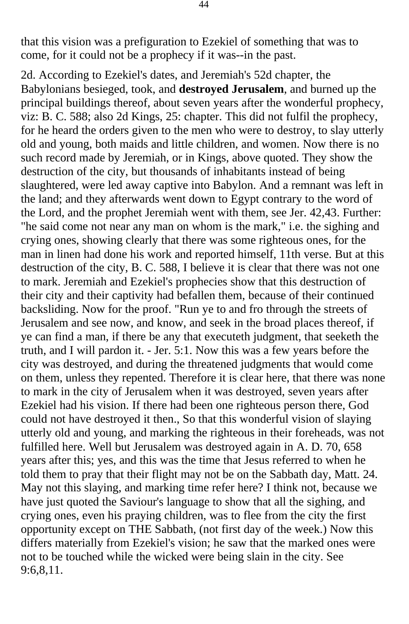that this vision was a prefiguration to Ezekiel of something that was to come, for it could not be a prophecy if it was--in the past.

2d. According to Ezekiel's dates, and Jeremiah's 52d chapter, the Babylonians besieged, took, and **destroyed Jerusalem**, and burned up the principal buildings thereof, about seven years after the wonderful prophecy, viz: B. C. 588; also 2d Kings, 25: chapter. This did not fulfil the prophecy, for he heard the orders given to the men who were to destroy, to slay utterly old and young, both maids and little children, and women. Now there is no such record made by Jeremiah, or in Kings, above quoted. They show the destruction of the city, but thousands of inhabitants instead of being slaughtered, were led away captive into Babylon. And a remnant was left in the land; and they afterwards went down to Egypt contrary to the word of the Lord, and the prophet Jeremiah went with them, see Jer. 42,43. Further: "he said come not near any man on whom is the mark," i.e. the sighing and crying ones, showing clearly that there was some righteous ones, for the man in linen had done his work and reported himself, 11th verse. But at this destruction of the city, B. C. 588, I believe it is clear that there was not one to mark. Jeremiah and Ezekiel's prophecies show that this destruction of their city and their captivity had befallen them, because of their continued backsliding. Now for the proof. "Run ye to and fro through the streets of Jerusalem and see now, and know, and seek in the broad places thereof, if ye can find a man, if there be any that executeth judgment, that seeketh the truth, and I will pardon it. - Jer. 5:1. Now this was a few years before the city was destroyed, and during the threatened judgments that would come on them, unless they repented. Therefore it is clear here, that there was none to mark in the city of Jerusalem when it was destroyed, seven years after Ezekiel had his vision. If there had been one righteous person there, God could not have destroyed it then., So that this wonderful vision of slaying utterly old and young, and marking the righteous in their foreheads, was not fulfilled here. Well but Jerusalem was destroyed again in A. D. 70, 658 years after this; yes, and this was the time that Jesus referred to when he told them to pray that their flight may not be on the Sabbath day, Matt. 24. May not this slaying, and marking time refer here? I think not, because we have just quoted the Saviour's language to show that all the sighing, and crying ones, even his praying children, was to flee from the city the first opportunity except on THE Sabbath, (not first day of the week.) Now this differs materially from Ezekiel's vision; he saw that the marked ones were not to be touched while the wicked were being slain in the city. See 9:6,8,11.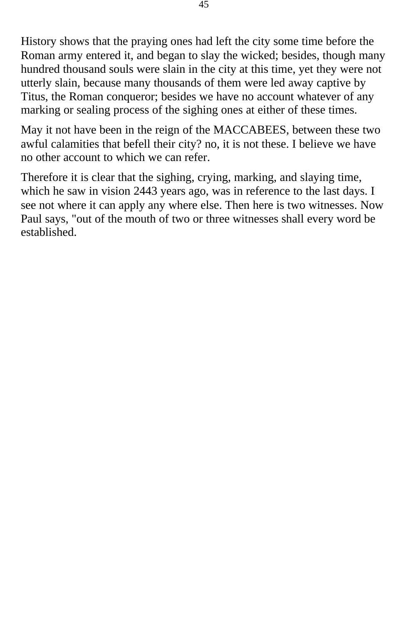History shows that the praying ones had left the city some time before the Roman army entered it, and began to slay the wicked; besides, though many hundred thousand souls were slain in the city at this time, yet they were not utterly slain, because many thousands of them were led away captive by Titus, the Roman conqueror; besides we have no account whatever of any marking or sealing process of the sighing ones at either of these times.

May it not have been in the reign of the MACCABEES, between these two awful calamities that befell their city? no, it is not these. I believe we have no other account to which we can refer.

Therefore it is clear that the sighing, crying, marking, and slaying time, which he saw in vision 2443 years ago, was in reference to the last days. I see not where it can apply any where else. Then here is two witnesses. Now Paul says, "out of the mouth of two or three witnesses shall every word be established.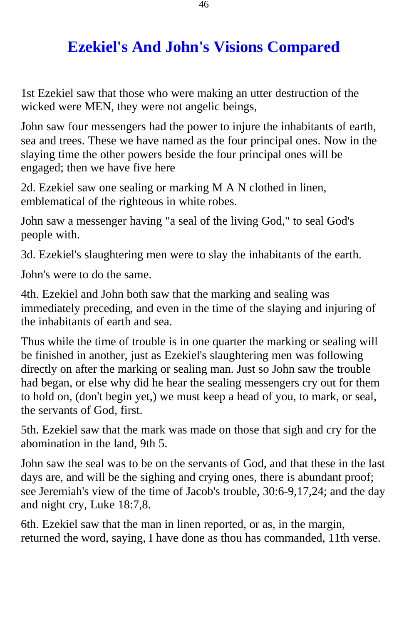## **Ezekiel's And John's Visions Compared**

<span id="page-45-0"></span>1st Ezekiel saw that those who were making an utter destruction of the wicked were MEN, they were not angelic beings,

John saw four messengers had the power to injure the inhabitants of earth, sea and trees. These we have named as the four principal ones. Now in the slaying time the other powers beside the four principal ones will be engaged; then we have five here

2d. Ezekiel saw one sealing or marking M A N clothed in linen, emblematical of the righteous in white robes.

John saw a messenger having "a seal of the living God," to seal God's people with.

3d. Ezekiel's slaughtering men were to slay the inhabitants of the earth.

John's were to do the same.

4th. Ezekiel and John both saw that the marking and sealing was immediately preceding, and even in the time of the slaying and injuring of the inhabitants of earth and sea.

Thus while the time of trouble is in one quarter the marking or sealing will be finished in another, just as Ezekiel's slaughtering men was following directly on after the marking or sealing man. Just so John saw the trouble had began, or else why did he hear the sealing messengers cry out for them to hold on, (don't begin yet,) we must keep a head of you, to mark, or seal, the servants of God, first.

5th. Ezekiel saw that the mark was made on those that sigh and cry for the abomination in the land, 9th 5.

John saw the seal was to be on the servants of God, and that these in the last days are, and will be the sighing and crying ones, there is abundant proof; see Jeremiah's view of the time of Jacob's trouble, 30:6-9,17,24; and the day and night cry, Luke 18:7,8.

6th. Ezekiel saw that the man in linen reported, or as, in the margin, returned the word, saying, I have done as thou has commanded, 11th verse.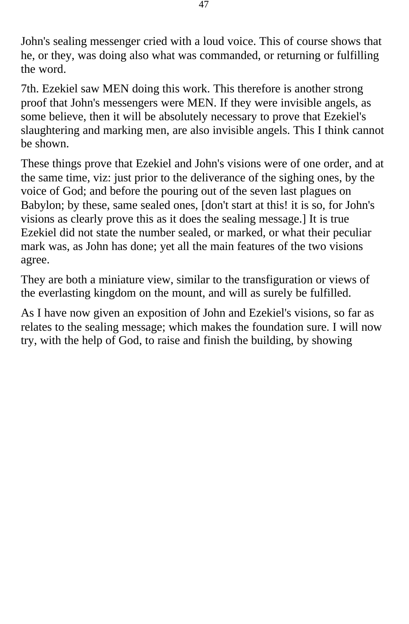John's sealing messenger cried with a loud voice. This of course shows that he, or they, was doing also what was commanded, or returning or fulfilling the word.

7th. Ezekiel saw MEN doing this work. This therefore is another strong proof that John's messengers were MEN. If they were invisible angels, as some believe, then it will be absolutely necessary to prove that Ezekiel's slaughtering and marking men, are also invisible angels. This I think cannot be shown.

These things prove that Ezekiel and John's visions were of one order, and at the same time, viz: just prior to the deliverance of the sighing ones, by the voice of God; and before the pouring out of the seven last plagues on Babylon; by these, same sealed ones, [don't start at this! it is so, for John's visions as clearly prove this as it does the sealing message.] It is true Ezekiel did not state the number sealed, or marked, or what their peculiar mark was, as John has done; yet all the main features of the two visions agree.

They are both a miniature view, similar to the transfiguration or views of the everlasting kingdom on the mount, and will as surely be fulfilled.

As I have now given an exposition of John and Ezekiel's visions, so far as relates to the sealing message; which makes the foundation sure. I will now try, with the help of God, to raise and finish the building, by showing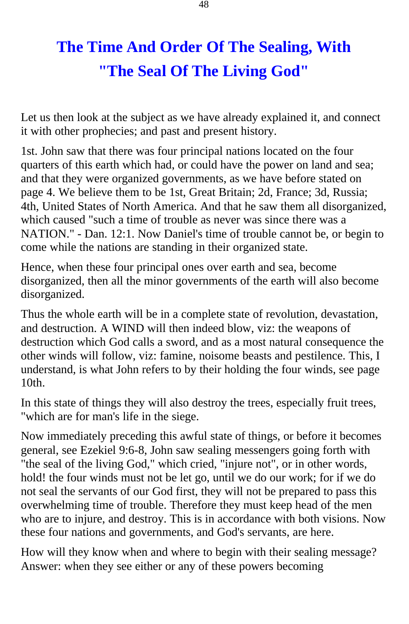## **The Time And Order Of The Sealing, With "The Seal Of The Living God"**

<span id="page-47-0"></span>Let us then look at the subject as we have already explained it, and connect it with other prophecies; and past and present history.

1st. John saw that there was four principal nations located on the four quarters of this earth which had, or could have the power on land and sea; and that they were organized governments, as we have before stated on page 4. We believe them to be 1st, Great Britain; 2d, France; 3d, Russia; 4th, United States of North America. And that he saw them all disorganized, which caused "such a time of trouble as never was since there was a NATION." - Dan. 12:1. Now Daniel's time of trouble cannot be, or begin to come while the nations are standing in their organized state.

Hence, when these four principal ones over earth and sea, become disorganized, then all the minor governments of the earth will also become disorganized.

Thus the whole earth will be in a complete state of revolution, devastation, and destruction. A WIND will then indeed blow, viz: the weapons of destruction which God calls a sword, and as a most natural consequence the other winds will follow, viz: famine, noisome beasts and pestilence. This, I understand, is what John refers to by their holding the four winds, see page  $10th$ .

In this state of things they will also destroy the trees, especially fruit trees, "which are for man's life in the siege.

Now immediately preceding this awful state of things, or before it becomes general, see Ezekiel 9:6-8, John saw sealing messengers going forth with "the seal of the living God," which cried, "injure not", or in other words, hold! the four winds must not be let go, until we do our work; for if we do not seal the servants of our God first, they will not be prepared to pass this overwhelming time of trouble. Therefore they must keep head of the men who are to injure, and destroy. This is in accordance with both visions. Now these four nations and governments, and God's servants, are here.

How will they know when and where to begin with their sealing message? Answer: when they see either or any of these powers becoming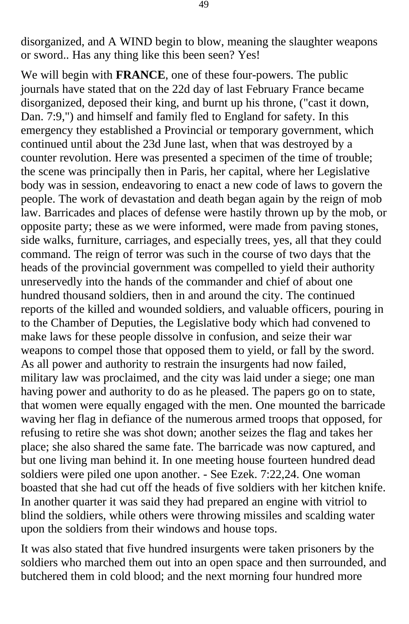disorganized, and A WIND begin to blow, meaning the slaughter weapons or sword.. Has any thing like this been seen? Yes!

We will begin with **FRANCE**, one of these four-powers. The public journals have stated that on the 22d day of last February France became disorganized, deposed their king, and burnt up his throne, ("cast it down, Dan. 7:9,") and himself and family fled to England for safety. In this emergency they established a Provincial or temporary government, which continued until about the 23d June last, when that was destroyed by a counter revolution. Here was presented a specimen of the time of trouble; the scene was principally then in Paris, her capital, where her Legislative body was in session, endeavoring to enact a new code of laws to govern the people. The work of devastation and death began again by the reign of mob law. Barricades and places of defense were hastily thrown up by the mob, or opposite party; these as we were informed, were made from paving stones, side walks, furniture, carriages, and especially trees, yes, all that they could command. The reign of terror was such in the course of two days that the heads of the provincial government was compelled to yield their authority unreservedly into the hands of the commander and chief of about one hundred thousand soldiers, then in and around the city. The continued reports of the killed and wounded soldiers, and valuable officers, pouring in to the Chamber of Deputies, the Legislative body which had convened to make laws for these people dissolve in confusion, and seize their war weapons to compel those that opposed them to yield, or fall by the sword. As all power and authority to restrain the insurgents had now failed, military law was proclaimed, and the city was laid under a siege; one man having power and authority to do as he pleased. The papers go on to state, that women were equally engaged with the men. One mounted the barricade waving her flag in defiance of the numerous armed troops that opposed, for refusing to retire she was shot down; another seizes the flag and takes her place; she also shared the same fate. The barricade was now captured, and but one living man behind it. In one meeting house fourteen hundred dead soldiers were piled one upon another. - See Ezek. 7:22,24. One woman boasted that she had cut off the heads of five soldiers with her kitchen knife. In another quarter it was said they had prepared an engine with vitriol to blind the soldiers, while others were throwing missiles and scalding water upon the soldiers from their windows and house tops.

It was also stated that five hundred insurgents were taken prisoners by the soldiers who marched them out into an open space and then surrounded, and butchered them in cold blood; and the next morning four hundred more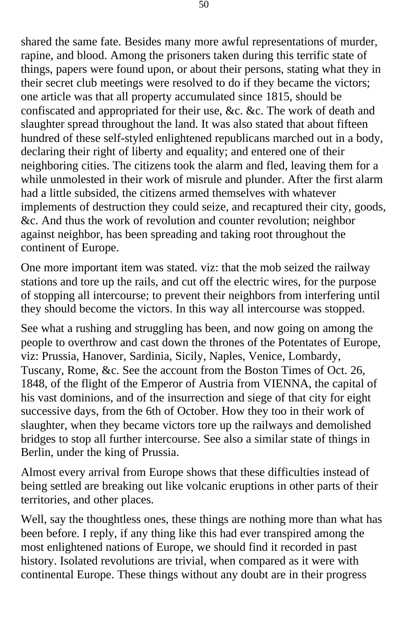shared the same fate. Besides many more awful representations of murder, rapine, and blood. Among the prisoners taken during this terrific state of things, papers were found upon, or about their persons, stating what they in their secret club meetings were resolved to do if they became the victors; one article was that all property accumulated since 1815, should be confiscated and appropriated for their use, &c. &c. The work of death and slaughter spread throughout the land. It was also stated that about fifteen hundred of these self-styled enlightened republicans marched out in a body, declaring their right of liberty and equality; and entered one of their neighboring cities. The citizens took the alarm and fled, leaving them for a while unmolested in their work of misrule and plunder. After the first alarm had a little subsided, the citizens armed themselves with whatever implements of destruction they could seize, and recaptured their city, goods, &c. And thus the work of revolution and counter revolution; neighbor against neighbor, has been spreading and taking root throughout the continent of Europe.

One more important item was stated. viz: that the mob seized the railway stations and tore up the rails, and cut off the electric wires, for the purpose of stopping all intercourse; to prevent their neighbors from interfering until they should become the victors. In this way all intercourse was stopped.

See what a rushing and struggling has been, and now going on among the people to overthrow and cast down the thrones of the Potentates of Europe, viz: Prussia, Hanover, Sardinia, Sicily, Naples, Venice, Lombardy, Tuscany, Rome, &c. See the account from the Boston Times of Oct. 26, 1848, of the flight of the Emperor of Austria from VIENNA, the capital of his vast dominions, and of the insurrection and siege of that city for eight successive days, from the 6th of October. How they too in their work of slaughter, when they became victors tore up the railways and demolished bridges to stop all further intercourse. See also a similar state of things in Berlin, under the king of Prussia.

Almost every arrival from Europe shows that these difficulties instead of being settled are breaking out like volcanic eruptions in other parts of their territories, and other places.

Well, say the thoughtless ones, these things are nothing more than what has been before. I reply, if any thing like this had ever transpired among the most enlightened nations of Europe, we should find it recorded in past history. Isolated revolutions are trivial, when compared as it were with continental Europe. These things without any doubt are in their progress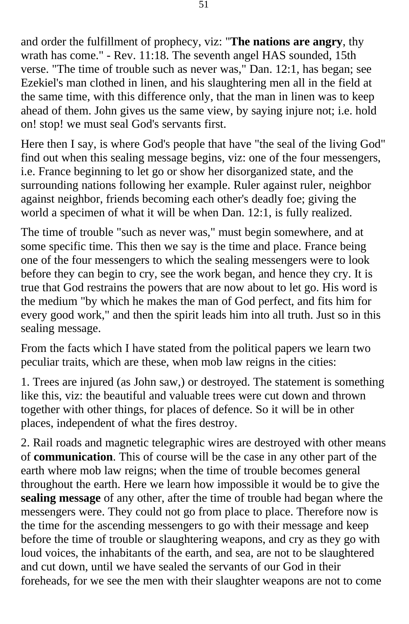and order the fulfillment of prophecy, viz: "**The nations are angry**, thy wrath has come." - Rev. 11:18. The seventh angel HAS sounded, 15th verse. "The time of trouble such as never was," Dan. 12:1, has began; see Ezekiel's man clothed in linen, and his slaughtering men all in the field at the same time, with this difference only, that the man in linen was to keep ahead of them. John gives us the same view, by saying injure not; i.e. hold on! stop! we must seal God's servants first.

Here then I say, is where God's people that have "the seal of the living God" find out when this sealing message begins, viz: one of the four messengers, i.e. France beginning to let go or show her disorganized state, and the surrounding nations following her example. Ruler against ruler, neighbor against neighbor, friends becoming each other's deadly foe; giving the world a specimen of what it will be when Dan. 12:1, is fully realized.

The time of trouble "such as never was," must begin somewhere, and at some specific time. This then we say is the time and place. France being one of the four messengers to which the sealing messengers were to look before they can begin to cry, see the work began, and hence they cry. It is true that God restrains the powers that are now about to let go. His word is the medium "by which he makes the man of God perfect, and fits him for every good work," and then the spirit leads him into all truth. Just so in this sealing message.

From the facts which I have stated from the political papers we learn two peculiar traits, which are these, when mob law reigns in the cities:

1. Trees are injured (as John saw,) or destroyed. The statement is something like this, viz: the beautiful and valuable trees were cut down and thrown together with other things, for places of defence. So it will be in other places, independent of what the fires destroy.

2. Rail roads and magnetic telegraphic wires are destroyed with other means of **communication**. This of course will be the case in any other part of the earth where mob law reigns; when the time of trouble becomes general throughout the earth. Here we learn how impossible it would be to give the **sealing message** of any other, after the time of trouble had began where the messengers were. They could not go from place to place. Therefore now is the time for the ascending messengers to go with their message and keep before the time of trouble or slaughtering weapons, and cry as they go with loud voices, the inhabitants of the earth, and sea, are not to be slaughtered and cut down, until we have sealed the servants of our God in their foreheads, for we see the men with their slaughter weapons are not to come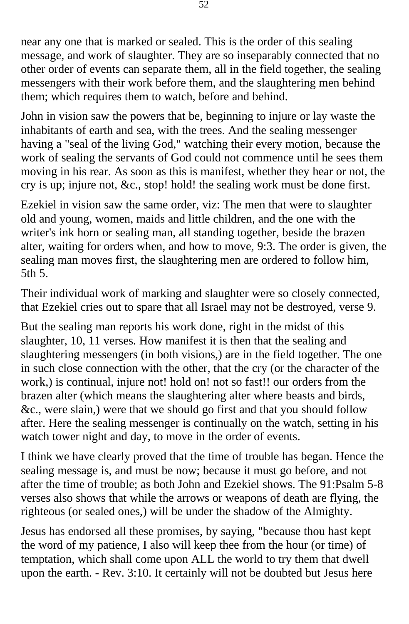near any one that is marked or sealed. This is the order of this sealing message, and work of slaughter. They are so inseparably connected that no other order of events can separate them, all in the field together, the sealing messengers with their work before them, and the slaughtering men behind them; which requires them to watch, before and behind.

John in vision saw the powers that be, beginning to injure or lay waste the inhabitants of earth and sea, with the trees. And the sealing messenger having a "seal of the living God," watching their every motion, because the work of sealing the servants of God could not commence until he sees them moving in his rear. As soon as this is manifest, whether they hear or not, the cry is up; injure not, &c., stop! hold! the sealing work must be done first.

Ezekiel in vision saw the same order, viz: The men that were to slaughter old and young, women, maids and little children, and the one with the writer's ink horn or sealing man, all standing together, beside the brazen alter, waiting for orders when, and how to move, 9:3. The order is given, the sealing man moves first, the slaughtering men are ordered to follow him, 5th 5.

Their individual work of marking and slaughter were so closely connected, that Ezekiel cries out to spare that all Israel may not be destroyed, verse 9.

But the sealing man reports his work done, right in the midst of this slaughter, 10, 11 verses. How manifest it is then that the sealing and slaughtering messengers (in both visions,) are in the field together. The one in such close connection with the other, that the cry (or the character of the work,) is continual, injure not! hold on! not so fast!! our orders from the brazen alter (which means the slaughtering alter where beasts and birds, &c., were slain,) were that we should go first and that you should follow after. Here the sealing messenger is continually on the watch, setting in his watch tower night and day, to move in the order of events.

I think we have clearly proved that the time of trouble has began. Hence the sealing message is, and must be now; because it must go before, and not after the time of trouble; as both John and Ezekiel shows. The 91:Psalm 5-8 verses also shows that while the arrows or weapons of death are flying, the righteous (or sealed ones,) will be under the shadow of the Almighty.

Jesus has endorsed all these promises, by saying, "because thou hast kept the word of my patience, I also will keep thee from the hour (or time) of temptation, which shall come upon ALL the world to try them that dwell upon the earth. - Rev. 3:10. It certainly will not be doubted but Jesus here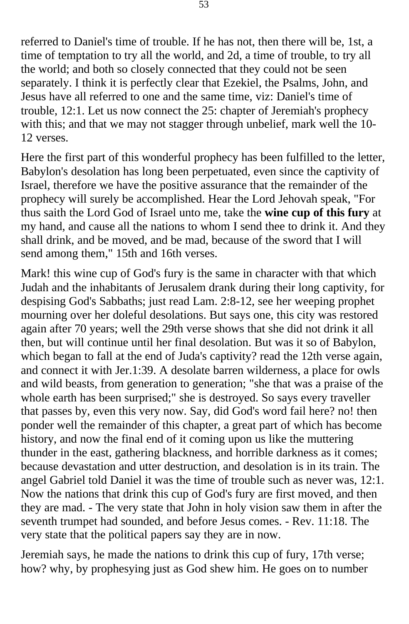referred to Daniel's time of trouble. If he has not, then there will be, 1st, a time of temptation to try all the world, and 2d, a time of trouble, to try all the world; and both so closely connected that they could not be seen separately. I think it is perfectly clear that Ezekiel, the Psalms, John, and Jesus have all referred to one and the same time, viz: Daniel's time of trouble, 12:1. Let us now connect the 25: chapter of Jeremiah's prophecy with this; and that we may not stagger through unbelief, mark well the 10 12 verses.

Here the first part of this wonderful prophecy has been fulfilled to the letter, Babylon's desolation has long been perpetuated, even since the captivity of Israel, therefore we have the positive assurance that the remainder of the prophecy will surely be accomplished. Hear the Lord Jehovah speak, "For thus saith the Lord God of Israel unto me, take the **wine cup of this fury** at my hand, and cause all the nations to whom I send thee to drink it. And they shall drink, and be moved, and be mad, because of the sword that I will send among them," 15th and 16th verses.

Mark! this wine cup of God's fury is the same in character with that which Judah and the inhabitants of Jerusalem drank during their long captivity, for despising God's Sabbaths; just read Lam. 2:8-12, see her weeping prophet mourning over her doleful desolations. But says one, this city was restored again after 70 years; well the 29th verse shows that she did not drink it all then, but will continue until her final desolation. But was it so of Babylon, which began to fall at the end of Juda's captivity? read the 12th verse again, and connect it with Jer.1:39. A desolate barren wilderness, a place for owls and wild beasts, from generation to generation; "she that was a praise of the whole earth has been surprised;" she is destroyed. So says every traveller that passes by, even this very now. Say, did God's word fail here? no! then ponder well the remainder of this chapter, a great part of which has become history, and now the final end of it coming upon us like the muttering thunder in the east, gathering blackness, and horrible darkness as it comes; because devastation and utter destruction, and desolation is in its train. The angel Gabriel told Daniel it was the time of trouble such as never was, 12:1. Now the nations that drink this cup of God's fury are first moved, and then they are mad. - The very state that John in holy vision saw them in after the seventh trumpet had sounded, and before Jesus comes. - Rev. 11:18. The very state that the political papers say they are in now.

Jeremiah says, he made the nations to drink this cup of fury, 17th verse; how? why, by prophesying just as God shew him. He goes on to number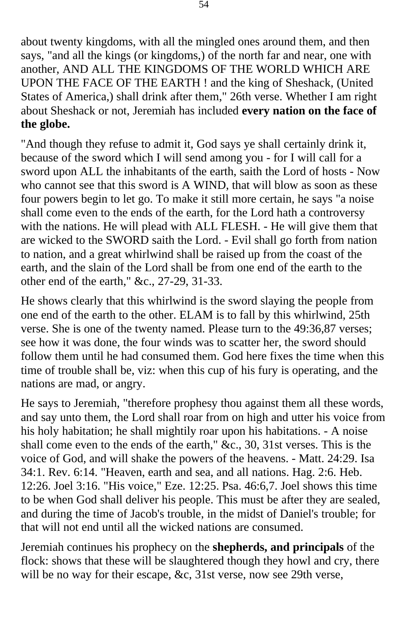about twenty kingdoms, with all the mingled ones around them, and then says, "and all the kings (or kingdoms,) of the north far and near, one with another, AND ALL THE KINGDOMS OF THE WORLD WHICH ARE UPON THE FACE OF THE EARTH ! and the king of Sheshack, (United States of America,) shall drink after them," 26th verse. Whether I am right about Sheshack or not, Jeremiah has included **every nation on the face of the globe.** 

"And though they refuse to admit it, God says ye shall certainly drink it, because of the sword which I will send among you - for I will call for a sword upon ALL the inhabitants of the earth, saith the Lord of hosts - Now who cannot see that this sword is A WIND, that will blow as soon as these four powers begin to let go. To make it still more certain, he says "a noise shall come even to the ends of the earth, for the Lord hath a controversy with the nations. He will plead with ALL FLESH. - He will give them that are wicked to the SWORD saith the Lord. - Evil shall go forth from nation to nation, and a great whirlwind shall be raised up from the coast of the earth, and the slain of the Lord shall be from one end of the earth to the other end of the earth," &c., 27-29, 31-33.

He shows clearly that this whirlwind is the sword slaying the people from one end of the earth to the other. ELAM is to fall by this whirlwind, 25th verse. She is one of the twenty named. Please turn to the 49:36,87 verses; see how it was done, the four winds was to scatter her, the sword should follow them until he had consumed them. God here fixes the time when this time of trouble shall be, viz: when this cup of his fury is operating, and the nations are mad, or angry.

He says to Jeremiah, "therefore prophesy thou against them all these words, and say unto them, the Lord shall roar from on high and utter his voice from his holy habitation; he shall mightily roar upon his habitations. - A noise shall come even to the ends of the earth," &c., 30, 31st verses. This is the voice of God, and will shake the powers of the heavens. - Matt. 24:29. Isa 34:1. Rev. 6:14. "Heaven, earth and sea, and all nations. Hag. 2:6. Heb. 12:26. Joel 3:16. "His voice," Eze. 12:25. Psa. 46:6,7. Joel shows this time to be when God shall deliver his people. This must be after they are sealed, and during the time of Jacob's trouble, in the midst of Daniel's trouble; for that will not end until all the wicked nations are consumed.

Jeremiah continues his prophecy on the **shepherds, and principals** of the flock: shows that these will be slaughtered though they howl and cry, there will be no way for their escape, &c, 31st verse, now see 29th verse,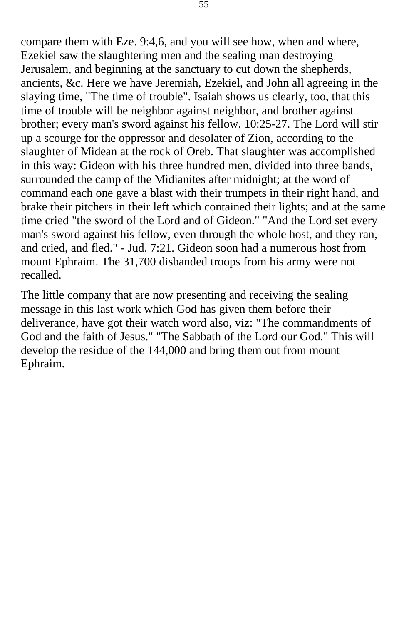compare them with Eze. 9:4,6, and you will see how, when and where, Ezekiel saw the slaughtering men and the sealing man destroying Jerusalem, and beginning at the sanctuary to cut down the shepherds, ancients, &c. Here we have Jeremiah, Ezekiel, and John all agreeing in the slaying time, "The time of trouble". Isaiah shows us clearly, too, that this time of trouble will be neighbor against neighbor, and brother against brother; every man's sword against his fellow, 10:25-27. The Lord will stir up a scourge for the oppressor and desolater of Zion, according to the slaughter of Midean at the rock of Oreb. That slaughter was accomplished in this way: Gideon with his three hundred men, divided into three bands, surrounded the camp of the Midianites after midnight; at the word of command each one gave a blast with their trumpets in their right hand, and brake their pitchers in their left which contained their lights; and at the same time cried "the sword of the Lord and of Gideon." "And the Lord set every man's sword against his fellow, even through the whole host, and they ran, and cried, and fled." - Jud. 7:21. Gideon soon had a numerous host from mount Ephraim. The 31,700 disbanded troops from his army were not recalled.

The little company that are now presenting and receiving the sealing message in this last work which God has given them before their deliverance, have got their watch word also, viz: "The commandments of God and the faith of Jesus." "The Sabbath of the Lord our God." This will develop the residue of the 144,000 and bring them out from mount Ephraim.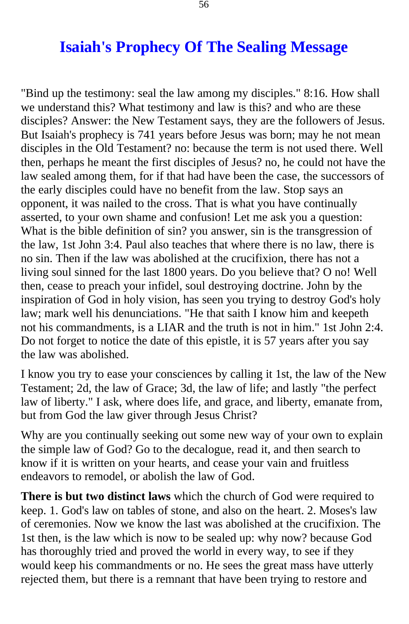## **Isaiah's Prophecy Of The Sealing Message**

<span id="page-55-0"></span>"Bind up the testimony: seal the law among my disciples." 8:16. How shall we understand this? What testimony and law is this? and who are these disciples? Answer: the New Testament says, they are the followers of Jesus. But Isaiah's prophecy is 741 years before Jesus was born; may he not mean disciples in the Old Testament? no: because the term is not used there. Well then, perhaps he meant the first disciples of Jesus? no, he could not have the law sealed among them, for if that had have been the case, the successors of the early disciples could have no benefit from the law. Stop says an opponent, it was nailed to the cross. That is what you have continually asserted, to your own shame and confusion! Let me ask you a question: What is the bible definition of sin? you answer, sin is the transgression of the law, 1st John 3:4. Paul also teaches that where there is no law, there is no sin. Then if the law was abolished at the crucifixion, there has not a living soul sinned for the last 1800 years. Do you believe that? O no! Well then, cease to preach your infidel, soul destroying doctrine. John by the inspiration of God in holy vision, has seen you trying to destroy God's holy law; mark well his denunciations. "He that saith I know him and keepeth not his commandments, is a LIAR and the truth is not in him." 1st John 2:4. Do not forget to notice the date of this epistle, it is 57 years after you say the law was abolished.

I know you try to ease your consciences by calling it 1st, the law of the New Testament; 2d, the law of Grace; 3d, the law of life; and lastly "the perfect law of liberty." I ask, where does life, and grace, and liberty, emanate from, but from God the law giver through Jesus Christ?

Why are you continually seeking out some new way of your own to explain the simple law of God? Go to the decalogue, read it, and then search to know if it is written on your hearts, and cease your vain and fruitless endeavors to remodel, or abolish the law of God.

**There is but two distinct laws** which the church of God were required to keep. 1. God's law on tables of stone, and also on the heart. 2. Moses's law of ceremonies. Now we know the last was abolished at the crucifixion. The 1st then, is the law which is now to be sealed up: why now? because God has thoroughly tried and proved the world in every way, to see if they would keep his commandments or no. He sees the great mass have utterly rejected them, but there is a remnant that have been trying to restore and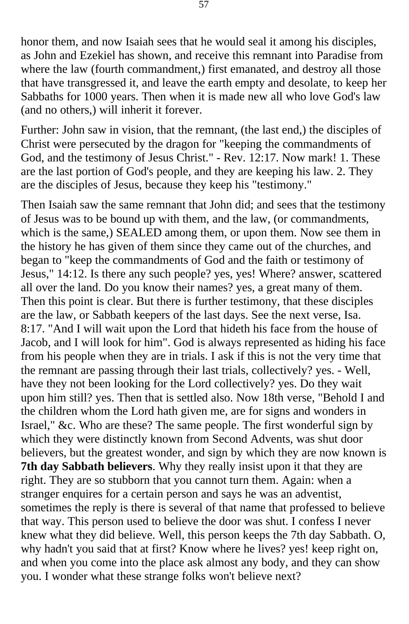honor them, and now Isaiah sees that he would seal it among his disciples, as John and Ezekiel has shown, and receive this remnant into Paradise from where the law (fourth commandment,) first emanated, and destroy all those that have transgressed it, and leave the earth empty and desolate, to keep her Sabbaths for 1000 years. Then when it is made new all who love God's law (and no others,) will inherit it forever.

Further: John saw in vision, that the remnant, (the last end,) the disciples of Christ were persecuted by the dragon for "keeping the commandments of God, and the testimony of Jesus Christ." - Rev. 12:17. Now mark! 1. These are the last portion of God's people, and they are keeping his law. 2. They are the disciples of Jesus, because they keep his "testimony."

Then Isaiah saw the same remnant that John did; and sees that the testimony of Jesus was to be bound up with them, and the law, (or commandments, which is the same.) SEALED among them, or upon them. Now see them in the history he has given of them since they came out of the churches, and began to "keep the commandments of God and the faith or testimony of Jesus," 14:12. Is there any such people? yes, yes! Where? answer, scattered all over the land. Do you know their names? yes, a great many of them. Then this point is clear. But there is further testimony, that these disciples are the law, or Sabbath keepers of the last days. See the next verse, Isa. 8:17. "And I will wait upon the Lord that hideth his face from the house of Jacob, and I will look for him". God is always represented as hiding his face from his people when they are in trials. I ask if this is not the very time that the remnant are passing through their last trials, collectively? yes. - Well, have they not been looking for the Lord collectively? yes. Do they wait upon him still? yes. Then that is settled also. Now 18th verse, "Behold I and the children whom the Lord hath given me, are for signs and wonders in Israel," &c. Who are these? The same people. The first wonderful sign by which they were distinctly known from Second Advents, was shut door believers, but the greatest wonder, and sign by which they are now known is **7th day Sabbath believers**. Why they really insist upon it that they are right. They are so stubborn that you cannot turn them. Again: when a stranger enquires for a certain person and says he was an adventist, sometimes the reply is there is several of that name that professed to believe that way. This person used to believe the door was shut. I confess I never knew what they did believe. Well, this person keeps the 7th day Sabbath. O, why hadn't you said that at first? Know where he lives? yes! keep right on, and when you come into the place ask almost any body, and they can show you. I wonder what these strange folks won't believe next?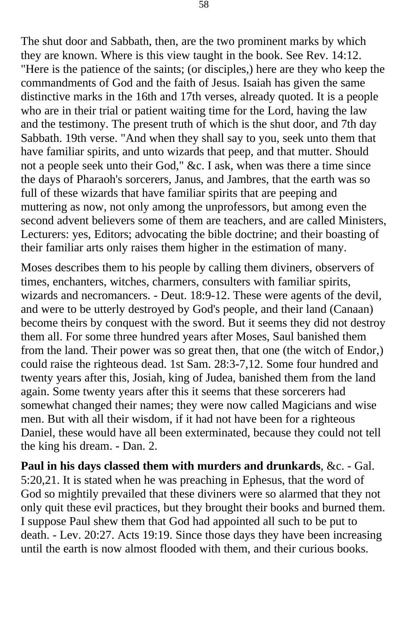The shut door and Sabbath, then, are the two prominent marks by which they are known. Where is this view taught in the book. See Rev. 14:12. "Here is the patience of the saints; (or disciples,) here are they who keep the commandments of God and the faith of Jesus. Isaiah has given the same distinctive marks in the 16th and 17th verses, already quoted. It is a people who are in their trial or patient waiting time for the Lord, having the law and the testimony. The present truth of which is the shut door, and 7th day Sabbath. 19th verse. "And when they shall say to you, seek unto them that have familiar spirits, and unto wizards that peep, and that mutter. Should not a people seek unto their God," &c. I ask, when was there a time since the days of Pharaoh's sorcerers, Janus, and Jambres, that the earth was so full of these wizards that have familiar spirits that are peeping and muttering as now, not only among the unprofessors, but among even the second advent believers some of them are teachers, and are called Ministers, Lecturers: yes, Editors; advocating the bible doctrine; and their boasting of their familiar arts only raises them higher in the estimation of many.

Moses describes them to his people by calling them diviners, observers of times, enchanters, witches, charmers, consulters with familiar spirits, wizards and necromancers. - Deut. 18:9-12. These were agents of the devil, and were to be utterly destroyed by God's people, and their land (Canaan) become theirs by conquest with the sword. But it seems they did not destroy them all. For some three hundred years after Moses, Saul banished them from the land. Their power was so great then, that one (the witch of Endor,) could raise the righteous dead. 1st Sam. 28:3-7,12. Some four hundred and twenty years after this, Josiah, king of Judea, banished them from the land again. Some twenty years after this it seems that these sorcerers had somewhat changed their names; they were now called Magicians and wise men. But with all their wisdom, if it had not have been for a righteous Daniel, these would have all been exterminated, because they could not tell the king his dream. - Dan. 2.

**Paul in his days classed them with murders and drunkards**, &c. - Gal. 5:20,21. It is stated when he was preaching in Ephesus, that the word of God so mightily prevailed that these diviners were so alarmed that they not only quit these evil practices, but they brought their books and burned them. I suppose Paul shew them that God had appointed all such to be put to death. - Lev. 20:27. Acts 19:19. Since those days they have been increasing until the earth is now almost flooded with them, and their curious books.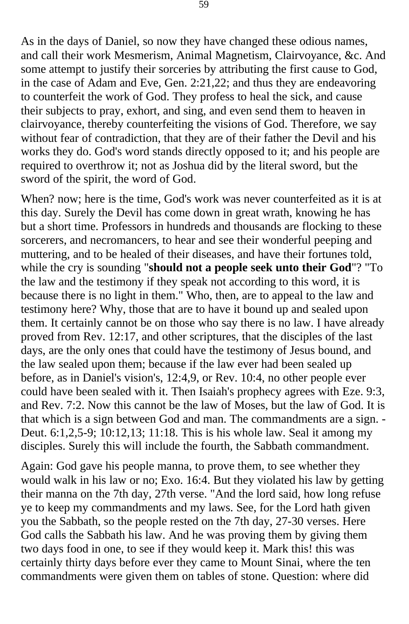As in the days of Daniel, so now they have changed these odious names, and call their work Mesmerism, Animal Magnetism, Clairvoyance, &c. And some attempt to justify their sorceries by attributing the first cause to God, in the case of Adam and Eve, Gen. 2:21,22; and thus they are endeavoring to counterfeit the work of God. They profess to heal the sick, and cause their subjects to pray, exhort, and sing, and even send them to heaven in clairvoyance, thereby counterfeiting the visions of God. Therefore, we say without fear of contradiction, that they are of their father the Devil and his works they do. God's word stands directly opposed to it; and his people are required to overthrow it; not as Joshua did by the literal sword, but the sword of the spirit, the word of God.

When? now; here is the time, God's work was never counterfeited as it is at this day. Surely the Devil has come down in great wrath, knowing he has but a short time. Professors in hundreds and thousands are flocking to these sorcerers, and necromancers, to hear and see their wonderful peeping and muttering, and to be healed of their diseases, and have their fortunes told, while the cry is sounding "**should not a people seek unto their God**"? "To the law and the testimony if they speak not according to this word, it is because there is no light in them." Who, then, are to appeal to the law and testimony here? Why, those that are to have it bound up and sealed upon them. It certainly cannot be on those who say there is no law. I have already proved from Rev. 12:17, and other scriptures, that the disciples of the last days, are the only ones that could have the testimony of Jesus bound, and the law sealed upon them; because if the law ever had been sealed up before, as in Daniel's vision's, 12:4,9, or Rev. 10:4, no other people ever could have been sealed with it. Then Isaiah's prophecy agrees with Eze. 9:3, and Rev. 7:2. Now this cannot be the law of Moses, but the law of God. It is that which is a sign between God and man. The commandments are a sign. - Deut. 6:1,2,5-9; 10:12,13; 11:18. This is his whole law. Seal it among my disciples. Surely this will include the fourth, the Sabbath commandment.

Again: God gave his people manna, to prove them, to see whether they would walk in his law or no; Exo. 16:4. But they violated his law by getting their manna on the 7th day, 27th verse. "And the lord said, how long refuse ye to keep my commandments and my laws. See, for the Lord hath given you the Sabbath, so the people rested on the 7th day, 27-30 verses. Here God calls the Sabbath his law. And he was proving them by giving them two days food in one, to see if they would keep it. Mark this! this was certainly thirty days before ever they came to Mount Sinai, where the ten commandments were given them on tables of stone. Question: where did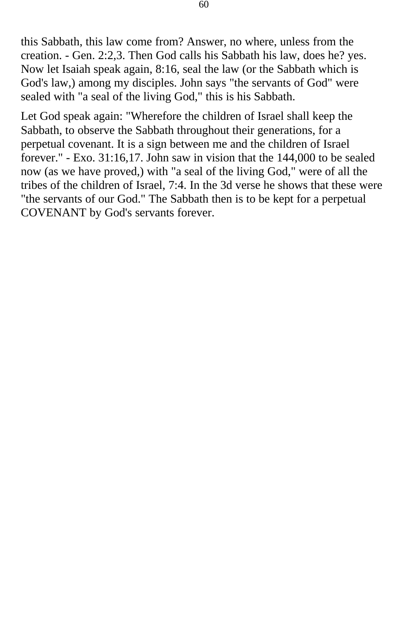this Sabbath, this law come from? Answer, no where, unless from the creation. - Gen. 2:2,3. Then God calls his Sabbath his law, does he? yes. Now let Isaiah speak again, 8:16, seal the law (or the Sabbath which is God's law,) among my disciples. John says "the servants of God" were sealed with "a seal of the living God," this is his Sabbath.

Let God speak again: "Wherefore the children of Israel shall keep the Sabbath, to observe the Sabbath throughout their generations, for a perpetual covenant. It is a sign between me and the children of Israel forever." - Exo. 31:16,17. John saw in vision that the 144,000 to be sealed now (as we have proved,) with "a seal of the living God," were of all the tribes of the children of Israel, 7:4. In the 3d verse he shows that these were "the servants of our God." The Sabbath then is to be kept for a perpetual COVENANT by God's servants forever.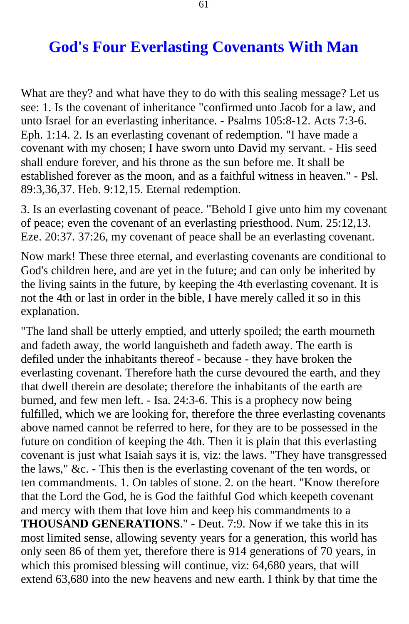## **God's Four Everlasting Covenants With Man**

<span id="page-60-0"></span>What are they? and what have they to do with this sealing message? Let us see: 1. Is the covenant of inheritance "confirmed unto Jacob for a law, and unto Israel for an everlasting inheritance. - Psalms 105:8-12. Acts 7:3-6. Eph. 1:14. 2. Is an everlasting covenant of redemption. "I have made a covenant with my chosen; I have sworn unto David my servant. - His seed shall endure forever, and his throne as the sun before me. It shall be established forever as the moon, and as a faithful witness in heaven." - Psl. 89:3,36,37. Heb. 9:12,15. Eternal redemption.

3. Is an everlasting covenant of peace. "Behold I give unto him my covenant of peace; even the covenant of an everlasting priesthood. Num. 25:12,13. Eze. 20:37. 37:26, my covenant of peace shall be an everlasting covenant.

Now mark! These three eternal, and everlasting covenants are conditional to God's children here, and are yet in the future; and can only be inherited by the living saints in the future, by keeping the 4th everlasting covenant. It is not the 4th or last in order in the bible, I have merely called it so in this explanation.

"The land shall be utterly emptied, and utterly spoiled; the earth mourneth and fadeth away, the world languisheth and fadeth away. The earth is defiled under the inhabitants thereof - because - they have broken the everlasting covenant. Therefore hath the curse devoured the earth, and they that dwell therein are desolate; therefore the inhabitants of the earth are burned, and few men left. - Isa. 24:3-6. This is a prophecy now being fulfilled, which we are looking for, therefore the three everlasting covenants above named cannot be referred to here, for they are to be possessed in the future on condition of keeping the 4th. Then it is plain that this everlasting covenant is just what Isaiah says it is, viz: the laws. "They have transgressed the laws," &c. - This then is the everlasting covenant of the ten words, or ten commandments. 1. On tables of stone. 2. on the heart. "Know therefore that the Lord the God, he is God the faithful God which keepeth covenant and mercy with them that love him and keep his commandments to a **THOUSAND GENERATIONS**." - Deut. 7:9. Now if we take this in its most limited sense, allowing seventy years for a generation, this world has only seen 86 of them yet, therefore there is 914 generations of 70 years, in which this promised blessing will continue, viz: 64,680 years, that will extend 63,680 into the new heavens and new earth. I think by that time the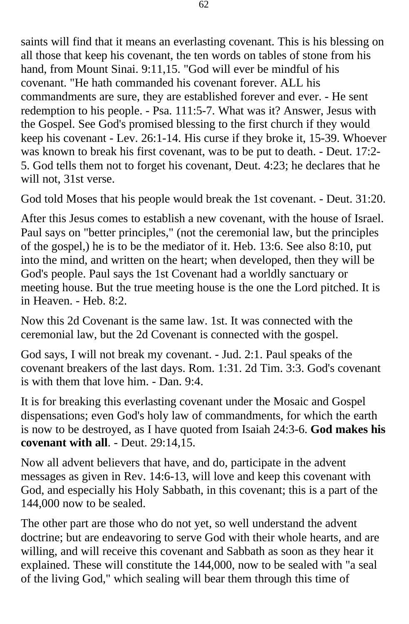saints will find that it means an everlasting covenant. This is his blessing on all those that keep his covenant, the ten words on tables of stone from his hand, from Mount Sinai. 9:11,15. "God will ever be mindful of his covenant. "He hath commanded his covenant forever. ALL his commandments are sure, they are established forever and ever. - He sent redemption to his people. - Psa. 111:5-7. What was it? Answer, Jesus with the Gospel. See God's promised blessing to the first church if they would keep his covenant - Lev. 26:1-14. His curse if they broke it, 15-39. Whoever was known to break his first covenant, was to be put to death. - Deut. 17:2- 5. God tells them not to forget his covenant, Deut. 4:23; he declares that he will not, 31st verse.

God told Moses that his people would break the 1st covenant. - Deut. 31:20.

After this Jesus comes to establish a new covenant, with the house of Israel. Paul says on "better principles," (not the ceremonial law, but the principles of the gospel,) he is to be the mediator of it. Heb. 13:6. See also 8:10, put into the mind, and written on the heart; when developed, then they will be God's people. Paul says the 1st Covenant had a worldly sanctuary or meeting house. But the true meeting house is the one the Lord pitched. It is in Heaven. - Heb. 8:2.

Now this 2d Covenant is the same law. 1st. It was connected with the ceremonial law, but the 2d Covenant is connected with the gospel.

God says, I will not break my covenant. - Jud. 2:1. Paul speaks of the covenant breakers of the last days. Rom. 1:31. 2d Tim. 3:3. God's covenant is with them that love him. - Dan. 9:4.

It is for breaking this everlasting covenant under the Mosaic and Gospel dispensations; even God's holy law of commandments, for which the earth is now to be destroyed, as I have quoted from Isaiah 24:3-6. **God makes his covenant with all**. - Deut. 29:14,15.

Now all advent believers that have, and do, participate in the advent messages as given in Rev. 14:6-13, will love and keep this covenant with God, and especially his Holy Sabbath, in this covenant; this is a part of the 144,000 now to be sealed.

The other part are those who do not yet, so well understand the advent doctrine; but are endeavoring to serve God with their whole hearts, and are willing, and will receive this covenant and Sabbath as soon as they hear it explained. These will constitute the 144,000, now to be sealed with "a seal of the living God," which sealing will bear them through this time of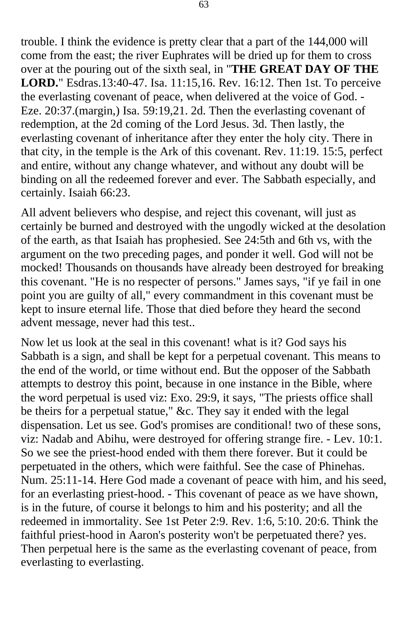trouble. I think the evidence is pretty clear that a part of the 144,000 will come from the east; the river Euphrates will be dried up for them to cross over at the pouring out of the sixth seal, in "**THE GREAT DAY OF THE LORD.**" Esdras.13:40-47. Isa. 11:15,16. Rev. 16:12. Then 1st. To perceive the everlasting covenant of peace, when delivered at the voice of God. - Eze. 20:37.(margin,) Isa. 59:19,21. 2d. Then the everlasting covenant of redemption, at the 2d coming of the Lord Jesus. 3d. Then lastly, the everlasting covenant of inheritance after they enter the holy city. There in that city, in the temple is the Ark of this covenant. Rev. 11:19. 15:5, perfect and entire, without any change whatever, and without any doubt will be binding on all the redeemed forever and ever. The Sabbath especially, and certainly. Isaiah 66:23.

All advent believers who despise, and reject this covenant, will just as certainly be burned and destroyed with the ungodly wicked at the desolation of the earth, as that Isaiah has prophesied. See 24:5th and 6th vs, with the argument on the two preceding pages, and ponder it well. God will not be mocked! Thousands on thousands have already been destroyed for breaking this covenant. "He is no respecter of persons." James says, "if ye fail in one point you are guilty of all," every commandment in this covenant must be kept to insure eternal life. Those that died before they heard the second advent message, never had this test..

Now let us look at the seal in this covenant! what is it? God says his Sabbath is a sign, and shall be kept for a perpetual covenant. This means to the end of the world, or time without end. But the opposer of the Sabbath attempts to destroy this point, because in one instance in the Bible, where the word perpetual is used viz: Exo. 29:9, it says, "The priests office shall be theirs for a perpetual statue," &c. They say it ended with the legal dispensation. Let us see. God's promises are conditional! two of these sons, viz: Nadab and Abihu, were destroyed for offering strange fire. - Lev. 10:1. So we see the priest-hood ended with them there forever. But it could be perpetuated in the others, which were faithful. See the case of Phinehas. Num. 25:11-14. Here God made a covenant of peace with him, and his seed, for an everlasting priest-hood. - This covenant of peace as we have shown, is in the future, of course it belongs to him and his posterity; and all the redeemed in immortality. See 1st Peter 2:9. Rev. 1:6, 5:10. 20:6. Think the faithful priest-hood in Aaron's posterity won't be perpetuated there? yes. Then perpetual here is the same as the everlasting covenant of peace, from everlasting to everlasting.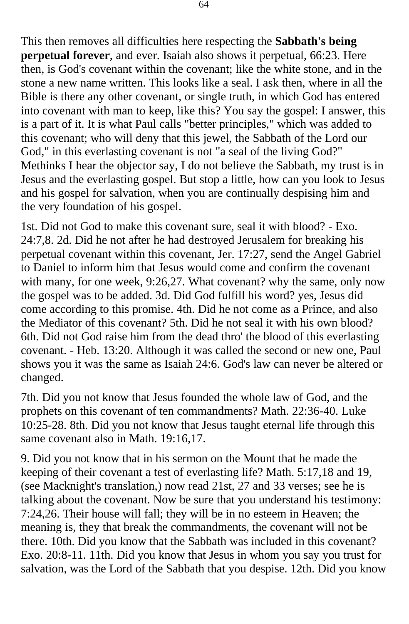This then removes all difficulties here respecting the **Sabbath's being perpetual forever**, and ever. Isaiah also shows it perpetual, 66:23. Here then, is God's covenant within the covenant; like the white stone, and in the stone a new name written. This looks like a seal. I ask then, where in all the Bible is there any other covenant, or single truth, in which God has entered into covenant with man to keep, like this? You say the gospel: I answer, this is a part of it. It is what Paul calls "better principles," which was added to this covenant; who will deny that this jewel, the Sabbath of the Lord our God," in this everlasting covenant is not "a seal of the living God?" Methinks I hear the objector say, I do not believe the Sabbath, my trust is in Jesus and the everlasting gospel. But stop a little, how can you look to Jesus and his gospel for salvation, when you are continually despising him and the very foundation of his gospel.

1st. Did not God to make this covenant sure, seal it with blood? - Exo. 24:7,8. 2d. Did he not after he had destroyed Jerusalem for breaking his perpetual covenant within this covenant, Jer. 17:27, send the Angel Gabriel to Daniel to inform him that Jesus would come and confirm the covenant with many, for one week, 9:26,27. What covenant? why the same, only now the gospel was to be added. 3d. Did God fulfill his word? yes, Jesus did come according to this promise. 4th. Did he not come as a Prince, and also the Mediator of this covenant? 5th. Did he not seal it with his own blood? 6th. Did not God raise him from the dead thro' the blood of this everlasting covenant. - Heb. 13:20. Although it was called the second or new one, Paul shows you it was the same as Isaiah 24:6. God's law can never be altered or changed.

7th. Did you not know that Jesus founded the whole law of God, and the prophets on this covenant of ten commandments? Math. 22:36-40. Luke 10:25-28. 8th. Did you not know that Jesus taught eternal life through this same covenant also in Math. 19:16,17.

9. Did you not know that in his sermon on the Mount that he made the keeping of their covenant a test of everlasting life? Math. 5:17,18 and 19, (see Macknight's translation,) now read 21st, 27 and 33 verses; see he is talking about the covenant. Now be sure that you understand his testimony: 7:24,26. Their house will fall; they will be in no esteem in Heaven; the meaning is, they that break the commandments, the covenant will not be there. 10th. Did you know that the Sabbath was included in this covenant? Exo. 20:8-11. 11th. Did you know that Jesus in whom you say you trust for salvation, was the Lord of the Sabbath that you despise. 12th. Did you know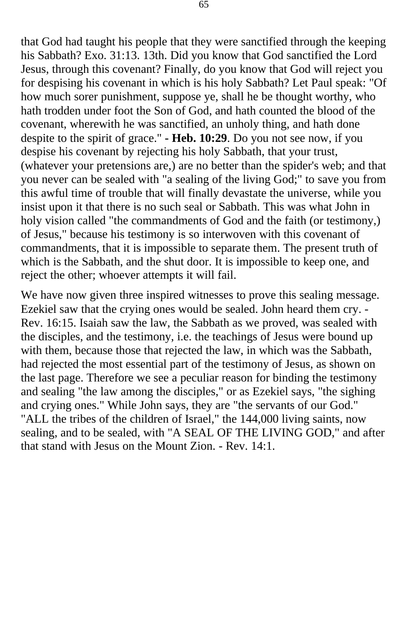that God had taught his people that they were sanctified through the keeping his Sabbath? Exo. 31:13. 13th. Did you know that God sanctified the Lord Jesus, through this covenant? Finally, do you know that God will reject you for despising his covenant in which is his holy Sabbath? Let Paul speak: "Of how much sorer punishment, suppose ye, shall he be thought worthy, who hath trodden under foot the Son of God, and hath counted the blood of the covenant, wherewith he was sanctified, an unholy thing, and hath done despite to the spirit of grace." **- Heb. 10:29**. Do you not see now, if you despise his covenant by rejecting his holy Sabbath, that your trust, (whatever your pretensions are,) are no better than the spider's web; and that you never can be sealed with "a sealing of the living God;" to save you from this awful time of trouble that will finally devastate the universe, while you insist upon it that there is no such seal or Sabbath. This was what John in holy vision called "the commandments of God and the faith (or testimony,) of Jesus," because his testimony is so interwoven with this covenant of commandments, that it is impossible to separate them. The present truth of which is the Sabbath, and the shut door. It is impossible to keep one, and reject the other; whoever attempts it will fail.

We have now given three inspired witnesses to prove this sealing message. Ezekiel saw that the crying ones would be sealed. John heard them cry. - Rev. 16:15. Isaiah saw the law, the Sabbath as we proved, was sealed with the disciples, and the testimony, i.e. the teachings of Jesus were bound up with them, because those that rejected the law, in which was the Sabbath, had rejected the most essential part of the testimony of Jesus, as shown on the last page. Therefore we see a peculiar reason for binding the testimony and sealing "the law among the disciples," or as Ezekiel says, "the sighing and crying ones." While John says, they are "the servants of our God." "ALL the tribes of the children of Israel," the 144,000 living saints, now sealing, and to be sealed, with "A SEAL OF THE LIVING GOD," and after that stand with Jesus on the Mount Zion. - Rev. 14:1.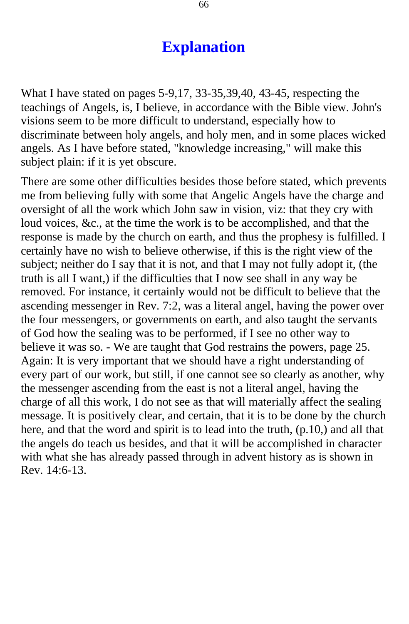## **Explanation**

<span id="page-65-0"></span>What I have stated on pages 5-9,17, 33-35,39,40, 43-45, respecting the teachings of Angels, is, I believe, in accordance with the Bible view. John's visions seem to be more difficult to understand, especially how to discriminate between holy angels, and holy men, and in some places wicked angels. As I have before stated, "knowledge increasing," will make this subject plain: if it is yet obscure.

There are some other difficulties besides those before stated, which prevents me from believing fully with some that Angelic Angels have the charge and oversight of all the work which John saw in vision, viz: that they cry with loud voices, &c., at the time the work is to be accomplished, and that the response is made by the church on earth, and thus the prophesy is fulfilled. I certainly have no wish to believe otherwise, if this is the right view of the subject; neither do I say that it is not, and that I may not fully adopt it, (the truth is all I want,) if the difficulties that I now see shall in any way be removed. For instance, it certainly would not be difficult to believe that the ascending messenger in Rev. 7:2, was a literal angel, having the power over the four messengers, or governments on earth, and also taught the servants of God how the sealing was to be performed, if I see no other way to believe it was so. - We are taught that God restrains the powers, page 25. Again: It is very important that we should have a right understanding of every part of our work, but still, if one cannot see so clearly as another, why the messenger ascending from the east is not a literal angel, having the charge of all this work, I do not see as that will materially affect the sealing message. It is positively clear, and certain, that it is to be done by the church here, and that the word and spirit is to lead into the truth, (p.10,) and all that the angels do teach us besides, and that it will be accomplished in character with what she has already passed through in advent history as is shown in Rev. 14:6-13.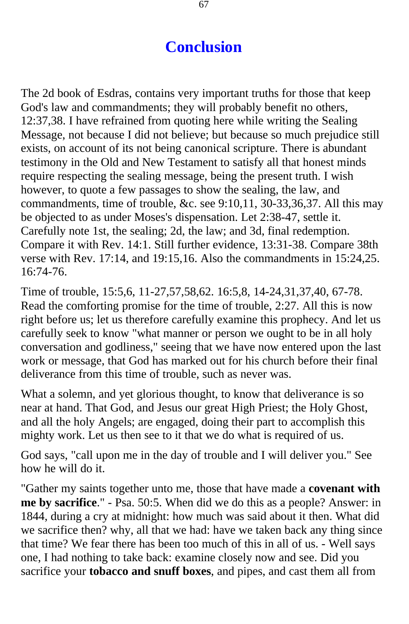## **Conclusion**

<span id="page-66-0"></span>The 2d book of Esdras, contains very important truths for those that keep God's law and commandments; they will probably benefit no others, 12:37,38. I have refrained from quoting here while writing the Sealing Message, not because I did not believe; but because so much prejudice still exists, on account of its not being canonical scripture. There is abundant testimony in the Old and New Testament to satisfy all that honest minds require respecting the sealing message, being the present truth. I wish however, to quote a few passages to show the sealing, the law, and commandments, time of trouble, &c. see 9:10,11, 30-33,36,37. All this may be objected to as under Moses's dispensation. Let 2:38-47, settle it. Carefully note 1st, the sealing; 2d, the law; and 3d, final redemption. Compare it with Rev. 14:1. Still further evidence, 13:31-38. Compare 38th verse with Rev. 17:14, and 19:15,16. Also the commandments in 15:24,25. 16:74-76.

Time of trouble, 15:5,6, 11-27,57,58,62. 16:5,8, 14-24,31,37,40, 67-78. Read the comforting promise for the time of trouble, 2:27. All this is now right before us; let us therefore carefully examine this prophecy. And let us carefully seek to know "what manner or person we ought to be in all holy conversation and godliness," seeing that we have now entered upon the last work or message, that God has marked out for his church before their final deliverance from this time of trouble, such as never was.

What a solemn, and yet glorious thought, to know that deliverance is so near at hand. That God, and Jesus our great High Priest; the Holy Ghost, and all the holy Angels; are engaged, doing their part to accomplish this mighty work. Let us then see to it that we do what is required of us.

God says, "call upon me in the day of trouble and I will deliver you." See how he will do it.

"Gather my saints together unto me, those that have made a **covenant with me by sacrifice**." - Psa. 50:5. When did we do this as a people? Answer: in 1844, during a cry at midnight: how much was said about it then. What did we sacrifice then? why, all that we had: have we taken back any thing since that time? We fear there has been too much of this in all of us. - Well says one, I had nothing to take back: examine closely now and see. Did you sacrifice your **tobacco and snuff boxes**, and pipes, and cast them all from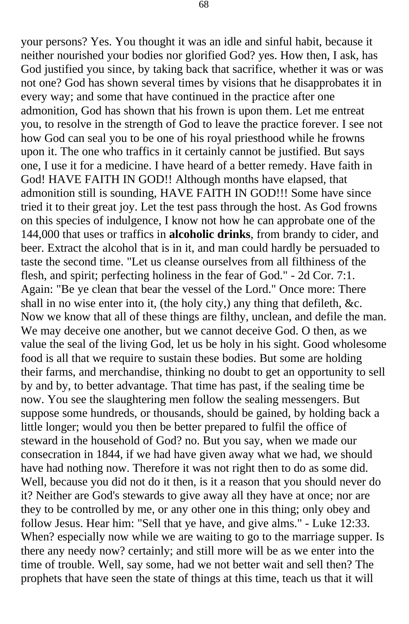your persons? Yes. You thought it was an idle and sinful habit, because it neither nourished your bodies nor glorified God? yes. How then, I ask, has God justified you since, by taking back that sacrifice, whether it was or was not one? God has shown several times by visions that he disapprobates it in every way; and some that have continued in the practice after one admonition, God has shown that his frown is upon them. Let me entreat you, to resolve in the strength of God to leave the practice forever. I see not how God can seal you to be one of his royal priesthood while he frowns upon it. The one who traffics in it certainly cannot be justified. But says one, I use it for a medicine. I have heard of a better remedy. Have faith in God! HAVE FAITH IN GOD!! Although months have elapsed, that admonition still is sounding, HAVE FAITH IN GOD!!! Some have since tried it to their great joy. Let the test pass through the host. As God frowns on this species of indulgence, I know not how he can approbate one of the 144,000 that uses or traffics in **alcoholic drinks**, from brandy to cider, and beer. Extract the alcohol that is in it, and man could hardly be persuaded to taste the second time. "Let us cleanse ourselves from all filthiness of the flesh, and spirit; perfecting holiness in the fear of God." - 2d Cor. 7:1. Again: "Be ye clean that bear the vessel of the Lord." Once more: There shall in no wise enter into it, (the holy city,) any thing that defileth, &c. Now we know that all of these things are filthy, unclean, and defile the man. We may deceive one another, but we cannot deceive God. O then, as we value the seal of the living God, let us be holy in his sight. Good wholesome food is all that we require to sustain these bodies. But some are holding their farms, and merchandise, thinking no doubt to get an opportunity to sell by and by, to better advantage. That time has past, if the sealing time be now. You see the slaughtering men follow the sealing messengers. But suppose some hundreds, or thousands, should be gained, by holding back a little longer; would you then be better prepared to fulfil the office of steward in the household of God? no. But you say, when we made our consecration in 1844, if we had have given away what we had, we should have had nothing now. Therefore it was not right then to do as some did. Well, because you did not do it then, is it a reason that you should never do it? Neither are God's stewards to give away all they have at once; nor are they to be controlled by me, or any other one in this thing; only obey and follow Jesus. Hear him: "Sell that ye have, and give alms." - Luke 12:33. When? especially now while we are waiting to go to the marriage supper. Is there any needy now? certainly; and still more will be as we enter into the time of trouble. Well, say some, had we not better wait and sell then? The prophets that have seen the state of things at this time, teach us that it will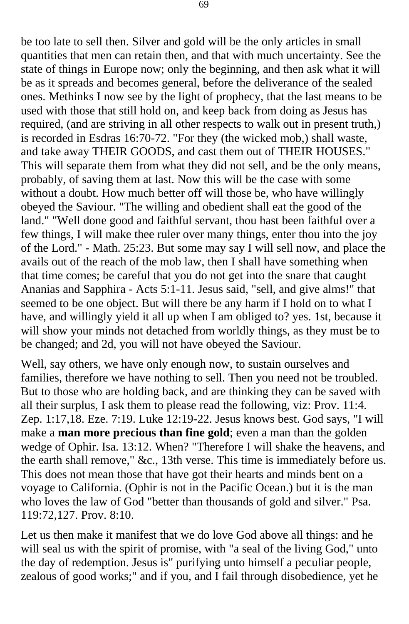be too late to sell then. Silver and gold will be the only articles in small quantities that men can retain then, and that with much uncertainty. See the state of things in Europe now; only the beginning, and then ask what it will be as it spreads and becomes general, before the deliverance of the sealed ones. Methinks I now see by the light of prophecy, that the last means to be used with those that still hold on, and keep back from doing as Jesus has required, (and are striving in all other respects to walk out in present truth,) is recorded in Esdras 16:70-72. "For they (the wicked mob,) shall waste, and take away THEIR GOODS, and cast them out of THEIR HOUSES." This will separate them from what they did not sell, and be the only means, probably, of saving them at last. Now this will be the case with some without a doubt. How much better off will those be, who have willingly obeyed the Saviour. "The willing and obedient shall eat the good of the land." "Well done good and faithful servant, thou hast been faithful over a few things, I will make thee ruler over many things, enter thou into the joy of the Lord." - Math. 25:23. But some may say I will sell now, and place the avails out of the reach of the mob law, then I shall have something when that time comes; be careful that you do not get into the snare that caught Ananias and Sapphira - Acts 5:1-11. Jesus said, "sell, and give alms!" that seemed to be one object. But will there be any harm if I hold on to what I have, and willingly yield it all up when I am obliged to? yes. 1st, because it will show your minds not detached from worldly things, as they must be to be changed; and 2d, you will not have obeyed the Saviour.

Well, say others, we have only enough now, to sustain ourselves and families, therefore we have nothing to sell. Then you need not be troubled. But to those who are holding back, and are thinking they can be saved with all their surplus, I ask them to please read the following, viz: Prov. 11:4. Zep. 1:17,18. Eze. 7:19. Luke 12:19-22. Jesus knows best. God says, "I will make a **man more precious than fine gold**; even a man than the golden wedge of Ophir. Isa. 13:12. When? "Therefore I will shake the heavens, and the earth shall remove," &c., 13th verse. This time is immediately before us. This does not mean those that have got their hearts and minds bent on a voyage to California. (Ophir is not in the Pacific Ocean.) but it is the man who loves the law of God "better than thousands of gold and silver." Psa. 119:72,127. Prov. 8:10.

Let us then make it manifest that we do love God above all things: and he will seal us with the spirit of promise, with "a seal of the living God," unto the day of redemption. Jesus is" purifying unto himself a peculiar people, zealous of good works;" and if you, and I fail through disobedience, yet he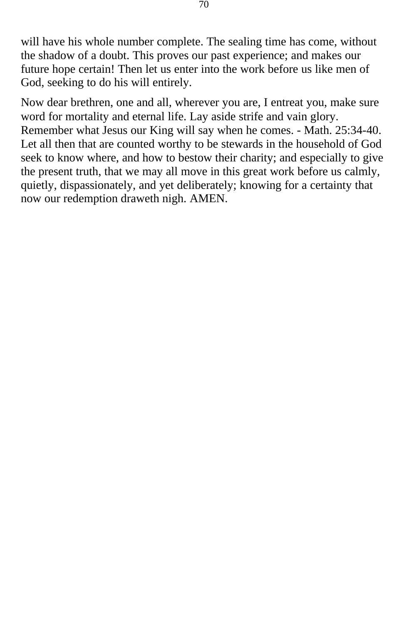will have his whole number complete. The sealing time has come, without the shadow of a doubt. This proves our past experience; and makes our future hope certain! Then let us enter into the work before us like men of God, seeking to do his will entirely.

Now dear brethren, one and all, wherever you are, I entreat you, make sure word for mortality and eternal life. Lay aside strife and vain glory. Remember what Jesus our King will say when he comes. - Math. 25:34-40. Let all then that are counted worthy to be stewards in the household of God seek to know where, and how to bestow their charity; and especially to give the present truth, that we may all move in this great work before us calmly, quietly, dispassionately, and yet deliberately; knowing for a certainty that now our redemption draweth nigh. AMEN.